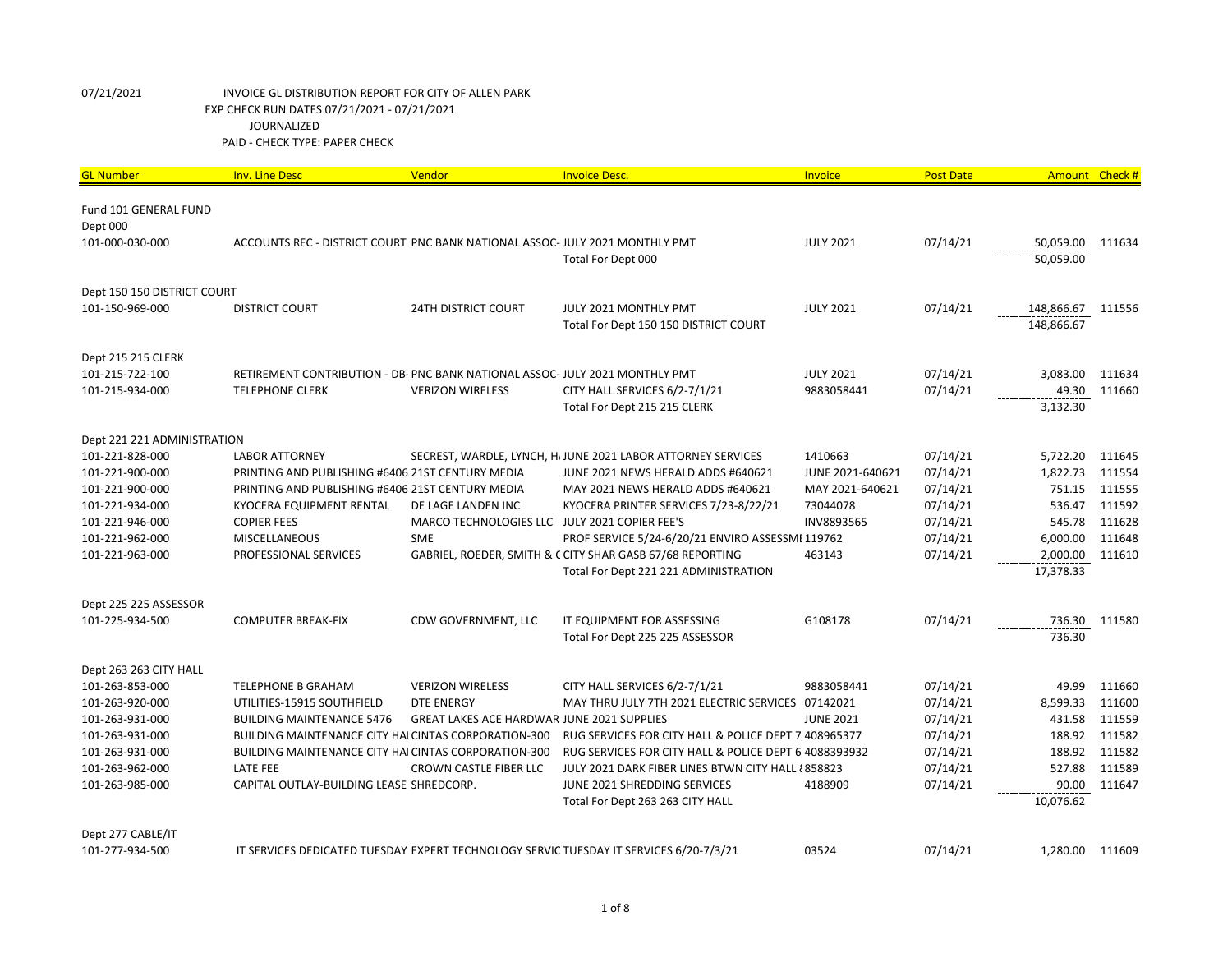| Fund 101 GENERAL FUND<br>Dept 000<br>101-000-030-000<br>ACCOUNTS REC - DISTRICT COURT PNC BANK NATIONAL ASSOC- JULY 2021 MONTHLY PMT<br><b>JULY 2021</b><br>07/14/21<br>50,059.00<br>111634<br>50,059.00<br>Total For Dept 000<br>Dept 150 150 DISTRICT COURT<br>07/14/21<br>101-150-969-000<br><b>DISTRICT COURT</b><br><b>24TH DISTRICT COURT</b><br>JULY 2021 MONTHLY PMT<br><b>JULY 2021</b><br>148,866.67<br>111556<br>148,866.67<br>Total For Dept 150 150 DISTRICT COURT<br>Dept 215 215 CLERK<br>101-215-722-100<br><b>JULY 2021</b><br>07/14/21<br>3,083.00<br>111634<br>RETIREMENT CONTRIBUTION - DB- PNC BANK NATIONAL ASSOC- JULY 2021 MONTHLY PMT<br>07/14/21<br>49.30<br>111660<br>101-215-934-000<br><b>TELEPHONE CLERK</b><br><b>VERIZON WIRELESS</b><br>CITY HALL SERVICES 6/2-7/1/21<br>9883058441<br>3,132.30<br>Total For Dept 215 215 CLERK<br>Dept 221 221 ADMINISTRATION<br>101-221-828-000<br>1410663<br>07/14/21<br>5,722.20<br>111645<br><b>LABOR ATTORNEY</b><br>SECREST, WARDLE, LYNCH, H. JUNE 2021 LABOR ATTORNEY SERVICES<br>101-221-900-000<br>PRINTING AND PUBLISHING #6406 21ST CENTURY MEDIA<br>JUNE 2021-640621<br>07/14/21<br>1,822.73<br>111554<br>JUNE 2021 NEWS HERALD ADDS #640621<br>111555<br>MAY 2021-640621<br>07/14/21<br>751.15<br>101-221-900-000<br>PRINTING AND PUBLISHING #6406 21ST CENTURY MEDIA<br>MAY 2021 NEWS HERALD ADDS #640621<br>07/14/21<br>536.47<br>111592<br>101-221-934-000<br>KYOCERA EQUIPMENT RENTAL<br>DE LAGE LANDEN INC<br>KYOCERA PRINTER SERVICES 7/23-8/22/21<br>73044078<br>111628<br>101-221-946-000<br><b>COPIER FEES</b><br>MARCO TECHNOLOGIES LLC JULY 2021 COPIER FEE'S<br>INV8893565<br>07/14/21<br>545.78<br>111648<br><b>SME</b><br>PROF SERVICE 5/24-6/20/21 ENVIRO ASSESSMI 119762<br>07/14/21<br>6,000.00<br>101-221-962-000<br><b>MISCELLANEOUS</b><br>07/14/21<br>2,000.00<br>111610<br>101-221-963-000<br>PROFESSIONAL SERVICES<br>GABRIEL, ROEDER, SMITH & CCITY SHAR GASB 67/68 REPORTING<br>463143<br>Total For Dept 221 221 ADMINISTRATION<br>17,378.33<br>Dept 225 225 ASSESSOR<br>07/14/21<br>101-225-934-500<br><b>COMPUTER BREAK-FIX</b><br>CDW GOVERNMENT, LLC<br>G108178<br>736.30<br>111580<br>IT EQUIPMENT FOR ASSESSING<br>Total For Dept 225 225 ASSESSOR<br>736.30<br>Dept 263 263 CITY HALL<br>49.99<br>101-263-853-000<br><b>VERIZON WIRELESS</b><br>CITY HALL SERVICES 6/2-7/1/21<br>9883058441<br>07/14/21<br>111660<br><b>TELEPHONE B GRAHAM</b><br>8,599.33<br>101-263-920-000<br><b>DTE ENERGY</b><br>MAY THRU JULY 7TH 2021 ELECTRIC SERVICES 07142021<br>07/14/21<br>111600<br>UTILITIES-15915 SOUTHFIELD<br>431.58<br>111559<br>101-263-931-000<br><b>BUILDING MAINTENANCE 5476</b><br><b>GREAT LAKES ACE HARDWAR JUNE 2021 SUPPLIES</b><br><b>JUNE 2021</b><br>07/14/21<br>188.92<br>111582<br>101-263-931-000<br>BUILDING MAINTENANCE CITY HAI CINTAS CORPORATION-300<br>RUG SERVICES FOR CITY HALL & POLICE DEPT 7 408965377<br>07/14/21<br>111582<br>101-263-931-000<br><b>BUILDING MAINTENANCE CITY HAI CINTAS CORPORATION-300</b><br>RUG SERVICES FOR CITY HALL & POLICE DEPT 6 4088393932<br>07/14/21<br>188.92<br>527.88<br>111589<br>101-263-962-000<br><b>LATE FEE</b><br>CROWN CASTLE FIBER LLC<br>07/14/21<br>JULY 2021 DARK FIBER LINES BTWN CITY HALL {858823<br>4188909<br>90.00<br>111647<br>101-263-985-000<br>CAPITAL OUTLAY-BUILDING LEASE SHREDCORP.<br>JUNE 2021 SHREDDING SERVICES<br>07/14/21<br>10,076.62<br>Total For Dept 263 263 CITY HALL | <b>GL Number</b> | <b>Inv. Line Desc</b> | Vendor | <b>Invoice Desc.</b> | Invoice | <b>Post Date</b> | Amount Check # |  |
|------------------------------------------------------------------------------------------------------------------------------------------------------------------------------------------------------------------------------------------------------------------------------------------------------------------------------------------------------------------------------------------------------------------------------------------------------------------------------------------------------------------------------------------------------------------------------------------------------------------------------------------------------------------------------------------------------------------------------------------------------------------------------------------------------------------------------------------------------------------------------------------------------------------------------------------------------------------------------------------------------------------------------------------------------------------------------------------------------------------------------------------------------------------------------------------------------------------------------------------------------------------------------------------------------------------------------------------------------------------------------------------------------------------------------------------------------------------------------------------------------------------------------------------------------------------------------------------------------------------------------------------------------------------------------------------------------------------------------------------------------------------------------------------------------------------------------------------------------------------------------------------------------------------------------------------------------------------------------------------------------------------------------------------------------------------------------------------------------------------------------------------------------------------------------------------------------------------------------------------------------------------------------------------------------------------------------------------------------------------------------------------------------------------------------------------------------------------------------------------------------------------------------------------------------------------------------------------------------------------------------------------------------------------------------------------------------------------------------------------------------------------------------------------------------------------------------------------------------------------------------------------------------------------------------------------------------------------------------------------------------------------------------------------------------------------------------------------------------------------------------------------------------------------------------------------------------------------------------------------------------------------------------------------------------------------------------------------------------------------------------------------------------------------------------------------------------------------------------------------|------------------|-----------------------|--------|----------------------|---------|------------------|----------------|--|
|                                                                                                                                                                                                                                                                                                                                                                                                                                                                                                                                                                                                                                                                                                                                                                                                                                                                                                                                                                                                                                                                                                                                                                                                                                                                                                                                                                                                                                                                                                                                                                                                                                                                                                                                                                                                                                                                                                                                                                                                                                                                                                                                                                                                                                                                                                                                                                                                                                                                                                                                                                                                                                                                                                                                                                                                                                                                                                                                                                                                                                                                                                                                                                                                                                                                                                                                                                                                                                                                                          |                  |                       |        |                      |         |                  |                |  |
|                                                                                                                                                                                                                                                                                                                                                                                                                                                                                                                                                                                                                                                                                                                                                                                                                                                                                                                                                                                                                                                                                                                                                                                                                                                                                                                                                                                                                                                                                                                                                                                                                                                                                                                                                                                                                                                                                                                                                                                                                                                                                                                                                                                                                                                                                                                                                                                                                                                                                                                                                                                                                                                                                                                                                                                                                                                                                                                                                                                                                                                                                                                                                                                                                                                                                                                                                                                                                                                                                          |                  |                       |        |                      |         |                  |                |  |
|                                                                                                                                                                                                                                                                                                                                                                                                                                                                                                                                                                                                                                                                                                                                                                                                                                                                                                                                                                                                                                                                                                                                                                                                                                                                                                                                                                                                                                                                                                                                                                                                                                                                                                                                                                                                                                                                                                                                                                                                                                                                                                                                                                                                                                                                                                                                                                                                                                                                                                                                                                                                                                                                                                                                                                                                                                                                                                                                                                                                                                                                                                                                                                                                                                                                                                                                                                                                                                                                                          |                  |                       |        |                      |         |                  |                |  |
|                                                                                                                                                                                                                                                                                                                                                                                                                                                                                                                                                                                                                                                                                                                                                                                                                                                                                                                                                                                                                                                                                                                                                                                                                                                                                                                                                                                                                                                                                                                                                                                                                                                                                                                                                                                                                                                                                                                                                                                                                                                                                                                                                                                                                                                                                                                                                                                                                                                                                                                                                                                                                                                                                                                                                                                                                                                                                                                                                                                                                                                                                                                                                                                                                                                                                                                                                                                                                                                                                          |                  |                       |        |                      |         |                  |                |  |
|                                                                                                                                                                                                                                                                                                                                                                                                                                                                                                                                                                                                                                                                                                                                                                                                                                                                                                                                                                                                                                                                                                                                                                                                                                                                                                                                                                                                                                                                                                                                                                                                                                                                                                                                                                                                                                                                                                                                                                                                                                                                                                                                                                                                                                                                                                                                                                                                                                                                                                                                                                                                                                                                                                                                                                                                                                                                                                                                                                                                                                                                                                                                                                                                                                                                                                                                                                                                                                                                                          |                  |                       |        |                      |         |                  |                |  |
|                                                                                                                                                                                                                                                                                                                                                                                                                                                                                                                                                                                                                                                                                                                                                                                                                                                                                                                                                                                                                                                                                                                                                                                                                                                                                                                                                                                                                                                                                                                                                                                                                                                                                                                                                                                                                                                                                                                                                                                                                                                                                                                                                                                                                                                                                                                                                                                                                                                                                                                                                                                                                                                                                                                                                                                                                                                                                                                                                                                                                                                                                                                                                                                                                                                                                                                                                                                                                                                                                          |                  |                       |        |                      |         |                  |                |  |
|                                                                                                                                                                                                                                                                                                                                                                                                                                                                                                                                                                                                                                                                                                                                                                                                                                                                                                                                                                                                                                                                                                                                                                                                                                                                                                                                                                                                                                                                                                                                                                                                                                                                                                                                                                                                                                                                                                                                                                                                                                                                                                                                                                                                                                                                                                                                                                                                                                                                                                                                                                                                                                                                                                                                                                                                                                                                                                                                                                                                                                                                                                                                                                                                                                                                                                                                                                                                                                                                                          |                  |                       |        |                      |         |                  |                |  |
|                                                                                                                                                                                                                                                                                                                                                                                                                                                                                                                                                                                                                                                                                                                                                                                                                                                                                                                                                                                                                                                                                                                                                                                                                                                                                                                                                                                                                                                                                                                                                                                                                                                                                                                                                                                                                                                                                                                                                                                                                                                                                                                                                                                                                                                                                                                                                                                                                                                                                                                                                                                                                                                                                                                                                                                                                                                                                                                                                                                                                                                                                                                                                                                                                                                                                                                                                                                                                                                                                          |                  |                       |        |                      |         |                  |                |  |
|                                                                                                                                                                                                                                                                                                                                                                                                                                                                                                                                                                                                                                                                                                                                                                                                                                                                                                                                                                                                                                                                                                                                                                                                                                                                                                                                                                                                                                                                                                                                                                                                                                                                                                                                                                                                                                                                                                                                                                                                                                                                                                                                                                                                                                                                                                                                                                                                                                                                                                                                                                                                                                                                                                                                                                                                                                                                                                                                                                                                                                                                                                                                                                                                                                                                                                                                                                                                                                                                                          |                  |                       |        |                      |         |                  |                |  |
|                                                                                                                                                                                                                                                                                                                                                                                                                                                                                                                                                                                                                                                                                                                                                                                                                                                                                                                                                                                                                                                                                                                                                                                                                                                                                                                                                                                                                                                                                                                                                                                                                                                                                                                                                                                                                                                                                                                                                                                                                                                                                                                                                                                                                                                                                                                                                                                                                                                                                                                                                                                                                                                                                                                                                                                                                                                                                                                                                                                                                                                                                                                                                                                                                                                                                                                                                                                                                                                                                          |                  |                       |        |                      |         |                  |                |  |
|                                                                                                                                                                                                                                                                                                                                                                                                                                                                                                                                                                                                                                                                                                                                                                                                                                                                                                                                                                                                                                                                                                                                                                                                                                                                                                                                                                                                                                                                                                                                                                                                                                                                                                                                                                                                                                                                                                                                                                                                                                                                                                                                                                                                                                                                                                                                                                                                                                                                                                                                                                                                                                                                                                                                                                                                                                                                                                                                                                                                                                                                                                                                                                                                                                                                                                                                                                                                                                                                                          |                  |                       |        |                      |         |                  |                |  |
|                                                                                                                                                                                                                                                                                                                                                                                                                                                                                                                                                                                                                                                                                                                                                                                                                                                                                                                                                                                                                                                                                                                                                                                                                                                                                                                                                                                                                                                                                                                                                                                                                                                                                                                                                                                                                                                                                                                                                                                                                                                                                                                                                                                                                                                                                                                                                                                                                                                                                                                                                                                                                                                                                                                                                                                                                                                                                                                                                                                                                                                                                                                                                                                                                                                                                                                                                                                                                                                                                          |                  |                       |        |                      |         |                  |                |  |
|                                                                                                                                                                                                                                                                                                                                                                                                                                                                                                                                                                                                                                                                                                                                                                                                                                                                                                                                                                                                                                                                                                                                                                                                                                                                                                                                                                                                                                                                                                                                                                                                                                                                                                                                                                                                                                                                                                                                                                                                                                                                                                                                                                                                                                                                                                                                                                                                                                                                                                                                                                                                                                                                                                                                                                                                                                                                                                                                                                                                                                                                                                                                                                                                                                                                                                                                                                                                                                                                                          |                  |                       |        |                      |         |                  |                |  |
|                                                                                                                                                                                                                                                                                                                                                                                                                                                                                                                                                                                                                                                                                                                                                                                                                                                                                                                                                                                                                                                                                                                                                                                                                                                                                                                                                                                                                                                                                                                                                                                                                                                                                                                                                                                                                                                                                                                                                                                                                                                                                                                                                                                                                                                                                                                                                                                                                                                                                                                                                                                                                                                                                                                                                                                                                                                                                                                                                                                                                                                                                                                                                                                                                                                                                                                                                                                                                                                                                          |                  |                       |        |                      |         |                  |                |  |
|                                                                                                                                                                                                                                                                                                                                                                                                                                                                                                                                                                                                                                                                                                                                                                                                                                                                                                                                                                                                                                                                                                                                                                                                                                                                                                                                                                                                                                                                                                                                                                                                                                                                                                                                                                                                                                                                                                                                                                                                                                                                                                                                                                                                                                                                                                                                                                                                                                                                                                                                                                                                                                                                                                                                                                                                                                                                                                                                                                                                                                                                                                                                                                                                                                                                                                                                                                                                                                                                                          |                  |                       |        |                      |         |                  |                |  |
|                                                                                                                                                                                                                                                                                                                                                                                                                                                                                                                                                                                                                                                                                                                                                                                                                                                                                                                                                                                                                                                                                                                                                                                                                                                                                                                                                                                                                                                                                                                                                                                                                                                                                                                                                                                                                                                                                                                                                                                                                                                                                                                                                                                                                                                                                                                                                                                                                                                                                                                                                                                                                                                                                                                                                                                                                                                                                                                                                                                                                                                                                                                                                                                                                                                                                                                                                                                                                                                                                          |                  |                       |        |                      |         |                  |                |  |
|                                                                                                                                                                                                                                                                                                                                                                                                                                                                                                                                                                                                                                                                                                                                                                                                                                                                                                                                                                                                                                                                                                                                                                                                                                                                                                                                                                                                                                                                                                                                                                                                                                                                                                                                                                                                                                                                                                                                                                                                                                                                                                                                                                                                                                                                                                                                                                                                                                                                                                                                                                                                                                                                                                                                                                                                                                                                                                                                                                                                                                                                                                                                                                                                                                                                                                                                                                                                                                                                                          |                  |                       |        |                      |         |                  |                |  |
|                                                                                                                                                                                                                                                                                                                                                                                                                                                                                                                                                                                                                                                                                                                                                                                                                                                                                                                                                                                                                                                                                                                                                                                                                                                                                                                                                                                                                                                                                                                                                                                                                                                                                                                                                                                                                                                                                                                                                                                                                                                                                                                                                                                                                                                                                                                                                                                                                                                                                                                                                                                                                                                                                                                                                                                                                                                                                                                                                                                                                                                                                                                                                                                                                                                                                                                                                                                                                                                                                          |                  |                       |        |                      |         |                  |                |  |
|                                                                                                                                                                                                                                                                                                                                                                                                                                                                                                                                                                                                                                                                                                                                                                                                                                                                                                                                                                                                                                                                                                                                                                                                                                                                                                                                                                                                                                                                                                                                                                                                                                                                                                                                                                                                                                                                                                                                                                                                                                                                                                                                                                                                                                                                                                                                                                                                                                                                                                                                                                                                                                                                                                                                                                                                                                                                                                                                                                                                                                                                                                                                                                                                                                                                                                                                                                                                                                                                                          |                  |                       |        |                      |         |                  |                |  |
|                                                                                                                                                                                                                                                                                                                                                                                                                                                                                                                                                                                                                                                                                                                                                                                                                                                                                                                                                                                                                                                                                                                                                                                                                                                                                                                                                                                                                                                                                                                                                                                                                                                                                                                                                                                                                                                                                                                                                                                                                                                                                                                                                                                                                                                                                                                                                                                                                                                                                                                                                                                                                                                                                                                                                                                                                                                                                                                                                                                                                                                                                                                                                                                                                                                                                                                                                                                                                                                                                          |                  |                       |        |                      |         |                  |                |  |
|                                                                                                                                                                                                                                                                                                                                                                                                                                                                                                                                                                                                                                                                                                                                                                                                                                                                                                                                                                                                                                                                                                                                                                                                                                                                                                                                                                                                                                                                                                                                                                                                                                                                                                                                                                                                                                                                                                                                                                                                                                                                                                                                                                                                                                                                                                                                                                                                                                                                                                                                                                                                                                                                                                                                                                                                                                                                                                                                                                                                                                                                                                                                                                                                                                                                                                                                                                                                                                                                                          |                  |                       |        |                      |         |                  |                |  |
|                                                                                                                                                                                                                                                                                                                                                                                                                                                                                                                                                                                                                                                                                                                                                                                                                                                                                                                                                                                                                                                                                                                                                                                                                                                                                                                                                                                                                                                                                                                                                                                                                                                                                                                                                                                                                                                                                                                                                                                                                                                                                                                                                                                                                                                                                                                                                                                                                                                                                                                                                                                                                                                                                                                                                                                                                                                                                                                                                                                                                                                                                                                                                                                                                                                                                                                                                                                                                                                                                          |                  |                       |        |                      |         |                  |                |  |
|                                                                                                                                                                                                                                                                                                                                                                                                                                                                                                                                                                                                                                                                                                                                                                                                                                                                                                                                                                                                                                                                                                                                                                                                                                                                                                                                                                                                                                                                                                                                                                                                                                                                                                                                                                                                                                                                                                                                                                                                                                                                                                                                                                                                                                                                                                                                                                                                                                                                                                                                                                                                                                                                                                                                                                                                                                                                                                                                                                                                                                                                                                                                                                                                                                                                                                                                                                                                                                                                                          |                  |                       |        |                      |         |                  |                |  |
|                                                                                                                                                                                                                                                                                                                                                                                                                                                                                                                                                                                                                                                                                                                                                                                                                                                                                                                                                                                                                                                                                                                                                                                                                                                                                                                                                                                                                                                                                                                                                                                                                                                                                                                                                                                                                                                                                                                                                                                                                                                                                                                                                                                                                                                                                                                                                                                                                                                                                                                                                                                                                                                                                                                                                                                                                                                                                                                                                                                                                                                                                                                                                                                                                                                                                                                                                                                                                                                                                          |                  |                       |        |                      |         |                  |                |  |
|                                                                                                                                                                                                                                                                                                                                                                                                                                                                                                                                                                                                                                                                                                                                                                                                                                                                                                                                                                                                                                                                                                                                                                                                                                                                                                                                                                                                                                                                                                                                                                                                                                                                                                                                                                                                                                                                                                                                                                                                                                                                                                                                                                                                                                                                                                                                                                                                                                                                                                                                                                                                                                                                                                                                                                                                                                                                                                                                                                                                                                                                                                                                                                                                                                                                                                                                                                                                                                                                                          |                  |                       |        |                      |         |                  |                |  |
|                                                                                                                                                                                                                                                                                                                                                                                                                                                                                                                                                                                                                                                                                                                                                                                                                                                                                                                                                                                                                                                                                                                                                                                                                                                                                                                                                                                                                                                                                                                                                                                                                                                                                                                                                                                                                                                                                                                                                                                                                                                                                                                                                                                                                                                                                                                                                                                                                                                                                                                                                                                                                                                                                                                                                                                                                                                                                                                                                                                                                                                                                                                                                                                                                                                                                                                                                                                                                                                                                          |                  |                       |        |                      |         |                  |                |  |
|                                                                                                                                                                                                                                                                                                                                                                                                                                                                                                                                                                                                                                                                                                                                                                                                                                                                                                                                                                                                                                                                                                                                                                                                                                                                                                                                                                                                                                                                                                                                                                                                                                                                                                                                                                                                                                                                                                                                                                                                                                                                                                                                                                                                                                                                                                                                                                                                                                                                                                                                                                                                                                                                                                                                                                                                                                                                                                                                                                                                                                                                                                                                                                                                                                                                                                                                                                                                                                                                                          |                  |                       |        |                      |         |                  |                |  |
|                                                                                                                                                                                                                                                                                                                                                                                                                                                                                                                                                                                                                                                                                                                                                                                                                                                                                                                                                                                                                                                                                                                                                                                                                                                                                                                                                                                                                                                                                                                                                                                                                                                                                                                                                                                                                                                                                                                                                                                                                                                                                                                                                                                                                                                                                                                                                                                                                                                                                                                                                                                                                                                                                                                                                                                                                                                                                                                                                                                                                                                                                                                                                                                                                                                                                                                                                                                                                                                                                          |                  |                       |        |                      |         |                  |                |  |
|                                                                                                                                                                                                                                                                                                                                                                                                                                                                                                                                                                                                                                                                                                                                                                                                                                                                                                                                                                                                                                                                                                                                                                                                                                                                                                                                                                                                                                                                                                                                                                                                                                                                                                                                                                                                                                                                                                                                                                                                                                                                                                                                                                                                                                                                                                                                                                                                                                                                                                                                                                                                                                                                                                                                                                                                                                                                                                                                                                                                                                                                                                                                                                                                                                                                                                                                                                                                                                                                                          |                  |                       |        |                      |         |                  |                |  |
|                                                                                                                                                                                                                                                                                                                                                                                                                                                                                                                                                                                                                                                                                                                                                                                                                                                                                                                                                                                                                                                                                                                                                                                                                                                                                                                                                                                                                                                                                                                                                                                                                                                                                                                                                                                                                                                                                                                                                                                                                                                                                                                                                                                                                                                                                                                                                                                                                                                                                                                                                                                                                                                                                                                                                                                                                                                                                                                                                                                                                                                                                                                                                                                                                                                                                                                                                                                                                                                                                          |                  |                       |        |                      |         |                  |                |  |
|                                                                                                                                                                                                                                                                                                                                                                                                                                                                                                                                                                                                                                                                                                                                                                                                                                                                                                                                                                                                                                                                                                                                                                                                                                                                                                                                                                                                                                                                                                                                                                                                                                                                                                                                                                                                                                                                                                                                                                                                                                                                                                                                                                                                                                                                                                                                                                                                                                                                                                                                                                                                                                                                                                                                                                                                                                                                                                                                                                                                                                                                                                                                                                                                                                                                                                                                                                                                                                                                                          |                  |                       |        |                      |         |                  |                |  |
|                                                                                                                                                                                                                                                                                                                                                                                                                                                                                                                                                                                                                                                                                                                                                                                                                                                                                                                                                                                                                                                                                                                                                                                                                                                                                                                                                                                                                                                                                                                                                                                                                                                                                                                                                                                                                                                                                                                                                                                                                                                                                                                                                                                                                                                                                                                                                                                                                                                                                                                                                                                                                                                                                                                                                                                                                                                                                                                                                                                                                                                                                                                                                                                                                                                                                                                                                                                                                                                                                          |                  |                       |        |                      |         |                  |                |  |
|                                                                                                                                                                                                                                                                                                                                                                                                                                                                                                                                                                                                                                                                                                                                                                                                                                                                                                                                                                                                                                                                                                                                                                                                                                                                                                                                                                                                                                                                                                                                                                                                                                                                                                                                                                                                                                                                                                                                                                                                                                                                                                                                                                                                                                                                                                                                                                                                                                                                                                                                                                                                                                                                                                                                                                                                                                                                                                                                                                                                                                                                                                                                                                                                                                                                                                                                                                                                                                                                                          |                  |                       |        |                      |         |                  |                |  |
|                                                                                                                                                                                                                                                                                                                                                                                                                                                                                                                                                                                                                                                                                                                                                                                                                                                                                                                                                                                                                                                                                                                                                                                                                                                                                                                                                                                                                                                                                                                                                                                                                                                                                                                                                                                                                                                                                                                                                                                                                                                                                                                                                                                                                                                                                                                                                                                                                                                                                                                                                                                                                                                                                                                                                                                                                                                                                                                                                                                                                                                                                                                                                                                                                                                                                                                                                                                                                                                                                          |                  |                       |        |                      |         |                  |                |  |
|                                                                                                                                                                                                                                                                                                                                                                                                                                                                                                                                                                                                                                                                                                                                                                                                                                                                                                                                                                                                                                                                                                                                                                                                                                                                                                                                                                                                                                                                                                                                                                                                                                                                                                                                                                                                                                                                                                                                                                                                                                                                                                                                                                                                                                                                                                                                                                                                                                                                                                                                                                                                                                                                                                                                                                                                                                                                                                                                                                                                                                                                                                                                                                                                                                                                                                                                                                                                                                                                                          |                  |                       |        |                      |         |                  |                |  |
| Dept 277 CABLE/IT                                                                                                                                                                                                                                                                                                                                                                                                                                                                                                                                                                                                                                                                                                                                                                                                                                                                                                                                                                                                                                                                                                                                                                                                                                                                                                                                                                                                                                                                                                                                                                                                                                                                                                                                                                                                                                                                                                                                                                                                                                                                                                                                                                                                                                                                                                                                                                                                                                                                                                                                                                                                                                                                                                                                                                                                                                                                                                                                                                                                                                                                                                                                                                                                                                                                                                                                                                                                                                                                        |                  |                       |        |                      |         |                  |                |  |
| 101-277-934-500<br>03524<br>07/14/21<br>1,280.00<br>IT SERVICES DEDICATED TUESDAY EXPERT TECHNOLOGY SERVIC TUESDAY IT SERVICES 6/20-7/3/21<br>111609                                                                                                                                                                                                                                                                                                                                                                                                                                                                                                                                                                                                                                                                                                                                                                                                                                                                                                                                                                                                                                                                                                                                                                                                                                                                                                                                                                                                                                                                                                                                                                                                                                                                                                                                                                                                                                                                                                                                                                                                                                                                                                                                                                                                                                                                                                                                                                                                                                                                                                                                                                                                                                                                                                                                                                                                                                                                                                                                                                                                                                                                                                                                                                                                                                                                                                                                     |                  |                       |        |                      |         |                  |                |  |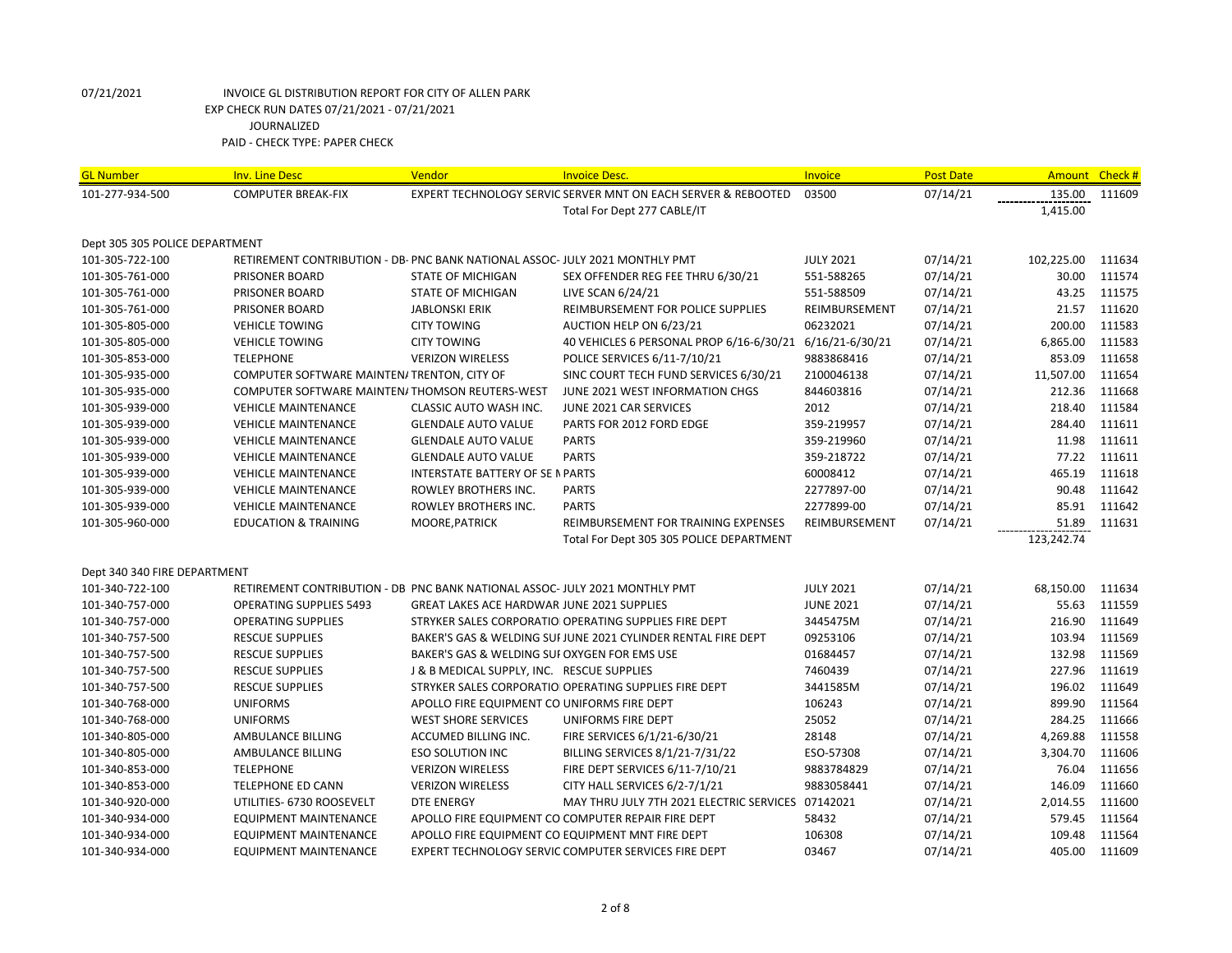| <b>GL Number</b>               | <b>Inv. Line Desc</b>                                                        | Vendor                                            | <b>Invoice Desc.</b>                                          | Invoice          | <b>Post Date</b> | Amount Check # |        |
|--------------------------------|------------------------------------------------------------------------------|---------------------------------------------------|---------------------------------------------------------------|------------------|------------------|----------------|--------|
| 101-277-934-500                | <b>COMPUTER BREAK-FIX</b>                                                    |                                                   | EXPERT TECHNOLOGY SERVIC SERVER MNT ON EACH SERVER & REBOOTED | 03500            | 07/14/21         | 135.00         | 111609 |
|                                |                                                                              |                                                   | Total For Dept 277 CABLE/IT                                   |                  |                  | 1,415.00       |        |
|                                |                                                                              |                                                   |                                                               |                  |                  |                |        |
| Dept 305 305 POLICE DEPARTMENT |                                                                              |                                                   |                                                               |                  |                  |                |        |
| 101-305-722-100                | RETIREMENT CONTRIBUTION - DB- PNC BANK NATIONAL ASSOC- JULY 2021 MONTHLY PMT |                                                   |                                                               | <b>JULY 2021</b> | 07/14/21         | 102,225.00     | 111634 |
| 101-305-761-000                | PRISONER BOARD                                                               | STATE OF MICHIGAN                                 | SEX OFFENDER REG FEE THRU 6/30/21                             | 551-588265       | 07/14/21         | 30.00          | 111574 |
| 101-305-761-000                | PRISONER BOARD                                                               | STATE OF MICHIGAN                                 | LIVE SCAN 6/24/21                                             | 551-588509       | 07/14/21         | 43.25          | 111575 |
| 101-305-761-000                | PRISONER BOARD                                                               | <b>JABLONSKI ERIK</b>                             | REIMBURSEMENT FOR POLICE SUPPLIES                             | REIMBURSEMENT    | 07/14/21         | 21.57          | 111620 |
| 101-305-805-000                | <b>VEHICLE TOWING</b>                                                        | <b>CITY TOWING</b>                                | AUCTION HELP ON 6/23/21                                       | 06232021         | 07/14/21         | 200.00         | 111583 |
| 101-305-805-000                | <b>VEHICLE TOWING</b>                                                        | <b>CITY TOWING</b>                                | 40 VEHICLES 6 PERSONAL PROP 6/16-6/30/21 6/16/21-6/30/21      |                  | 07/14/21         | 6,865.00       | 111583 |
| 101-305-853-000                | <b>TELEPHONE</b>                                                             | <b>VERIZON WIRELESS</b>                           | POLICE SERVICES 6/11-7/10/21                                  | 9883868416       | 07/14/21         | 853.09         | 111658 |
| 101-305-935-000                | COMPUTER SOFTWARE MAINTEN/ TRENTON, CITY OF                                  |                                                   | SINC COURT TECH FUND SERVICES 6/30/21                         | 2100046138       | 07/14/21         | 11,507.00      | 111654 |
| 101-305-935-000                | COMPUTER SOFTWARE MAINTEN/THOMSON REUTERS-WEST                               |                                                   | JUNE 2021 WEST INFORMATION CHGS                               | 844603816        | 07/14/21         | 212.36         | 111668 |
| 101-305-939-000                | <b>VEHICLE MAINTENANCE</b>                                                   | CLASSIC AUTO WASH INC.                            | JUNE 2021 CAR SERVICES                                        | 2012             | 07/14/21         | 218.40         | 111584 |
| 101-305-939-000                | <b>VEHICLE MAINTENANCE</b>                                                   | <b>GLENDALE AUTO VALUE</b>                        | PARTS FOR 2012 FORD EDGE                                      | 359-219957       | 07/14/21         | 284.40         | 111611 |
| 101-305-939-000                | <b>VEHICLE MAINTENANCE</b>                                                   | <b>GLENDALE AUTO VALUE</b>                        | <b>PARTS</b>                                                  | 359-219960       | 07/14/21         | 11.98          | 111611 |
| 101-305-939-000                | <b>VEHICLE MAINTENANCE</b>                                                   | <b>GLENDALE AUTO VALUE</b>                        | <b>PARTS</b>                                                  | 359-218722       | 07/14/21         | 77.22          | 111611 |
| 101-305-939-000                | <b>VEHICLE MAINTENANCE</b>                                                   | <b>INTERSTATE BATTERY OF SE N PARTS</b>           |                                                               | 60008412         | 07/14/21         | 465.19         | 111618 |
| 101-305-939-000                | <b>VEHICLE MAINTENANCE</b>                                                   | ROWLEY BROTHERS INC.                              | <b>PARTS</b>                                                  | 2277897-00       | 07/14/21         | 90.48          | 111642 |
| 101-305-939-000                | <b>VEHICLE MAINTENANCE</b>                                                   | ROWLEY BROTHERS INC.                              | <b>PARTS</b>                                                  | 2277899-00       | 07/14/21         | 85.91          | 111642 |
| 101-305-960-000                | <b>EDUCATION &amp; TRAINING</b>                                              | MOORE, PATRICK                                    | REIMBURSEMENT FOR TRAINING EXPENSES                           | REIMBURSEMENT    | 07/14/21         | 51.89          | 111631 |
|                                |                                                                              |                                                   | Total For Dept 305 305 POLICE DEPARTMENT                      |                  |                  | 123,242.74     |        |
|                                |                                                                              |                                                   |                                                               |                  |                  |                |        |
| Dept 340 340 FIRE DEPARTMENT   |                                                                              |                                                   |                                                               |                  |                  |                |        |
| 101-340-722-100                | RETIREMENT CONTRIBUTION - DB PNC BANK NATIONAL ASSOC- JULY 2021 MONTHLY PMT  |                                                   |                                                               | <b>JULY 2021</b> | 07/14/21         | 68,150.00      | 111634 |
| 101-340-757-000                | <b>OPERATING SUPPLIES 5493</b>                                               | <b>GREAT LAKES ACE HARDWAR JUNE 2021 SUPPLIES</b> |                                                               | <b>JUNE 2021</b> | 07/14/21         | 55.63          | 111559 |
| 101-340-757-000                | <b>OPERATING SUPPLIES</b>                                                    |                                                   | STRYKER SALES CORPORATIO OPERATING SUPPLIES FIRE DEPT         | 3445475M         | 07/14/21         | 216.90         | 111649 |
| 101-340-757-500                | <b>RESCUE SUPPLIES</b>                                                       |                                                   | BAKER'S GAS & WELDING SUFJUNE 2021 CYLINDER RENTAL FIRE DEPT  | 09253106         | 07/14/21         | 103.94         | 111569 |
| 101-340-757-500                | <b>RESCUE SUPPLIES</b>                                                       | BAKER'S GAS & WELDING SUI OXYGEN FOR EMS USE      |                                                               | 01684457         | 07/14/21         | 132.98         | 111569 |
| 101-340-757-500                | <b>RESCUE SUPPLIES</b>                                                       | J & B MEDICAL SUPPLY, INC. RESCUE SUPPLIES        |                                                               | 7460439          | 07/14/21         | 227.96         | 111619 |
| 101-340-757-500                | <b>RESCUE SUPPLIES</b>                                                       |                                                   | STRYKER SALES CORPORATIO OPERATING SUPPLIES FIRE DEPT         | 3441585M         | 07/14/21         | 196.02         | 111649 |
| 101-340-768-000                | <b>UNIFORMS</b>                                                              | APOLLO FIRE EQUIPMENT CO UNIFORMS FIRE DEPT       |                                                               | 106243           | 07/14/21         | 899.90         | 111564 |
| 101-340-768-000                | <b>UNIFORMS</b>                                                              | <b>WEST SHORE SERVICES</b>                        | UNIFORMS FIRE DEPT                                            | 25052            | 07/14/21         | 284.25         | 111666 |
| 101-340-805-000                | AMBULANCE BILLING                                                            | ACCUMED BILLING INC.                              | FIRE SERVICES 6/1/21-6/30/21                                  | 28148            | 07/14/21         | 4,269.88       | 111558 |
| 101-340-805-000                | AMBULANCE BILLING                                                            | <b>ESO SOLUTION INC</b>                           | BILLING SERVICES 8/1/21-7/31/22                               | ESO-57308        | 07/14/21         | 3,304.70       | 111606 |
| 101-340-853-000                | <b>TELEPHONE</b>                                                             | <b>VERIZON WIRELESS</b>                           | FIRE DEPT SERVICES 6/11-7/10/21                               | 9883784829       | 07/14/21         | 76.04          | 111656 |
| 101-340-853-000                | <b>TELEPHONE ED CANN</b>                                                     | <b>VERIZON WIRELESS</b>                           | CITY HALL SERVICES 6/2-7/1/21                                 | 9883058441       | 07/14/21         | 146.09         | 111660 |
| 101-340-920-000                | UTILITIES- 6730 ROOSEVELT                                                    | DTE ENERGY                                        | MAY THRU JULY 7TH 2021 ELECTRIC SERVICES 07142021             |                  | 07/14/21         | 2,014.55       | 111600 |
| 101-340-934-000                | <b>EQUIPMENT MAINTENANCE</b>                                                 |                                                   | APOLLO FIRE EQUIPMENT CO COMPUTER REPAIR FIRE DEPT            | 58432            | 07/14/21         | 579.45         | 111564 |
| 101-340-934-000                | <b>EQUIPMENT MAINTENANCE</b>                                                 |                                                   | APOLLO FIRE EQUIPMENT CO EQUIPMENT MNT FIRE DEPT              | 106308           | 07/14/21         | 109.48         | 111564 |
| 101-340-934-000                | <b>EQUIPMENT MAINTENANCE</b>                                                 |                                                   | EXPERT TECHNOLOGY SERVIC COMPUTER SERVICES FIRE DEPT          | 03467            | 07/14/21         | 405.00         | 111609 |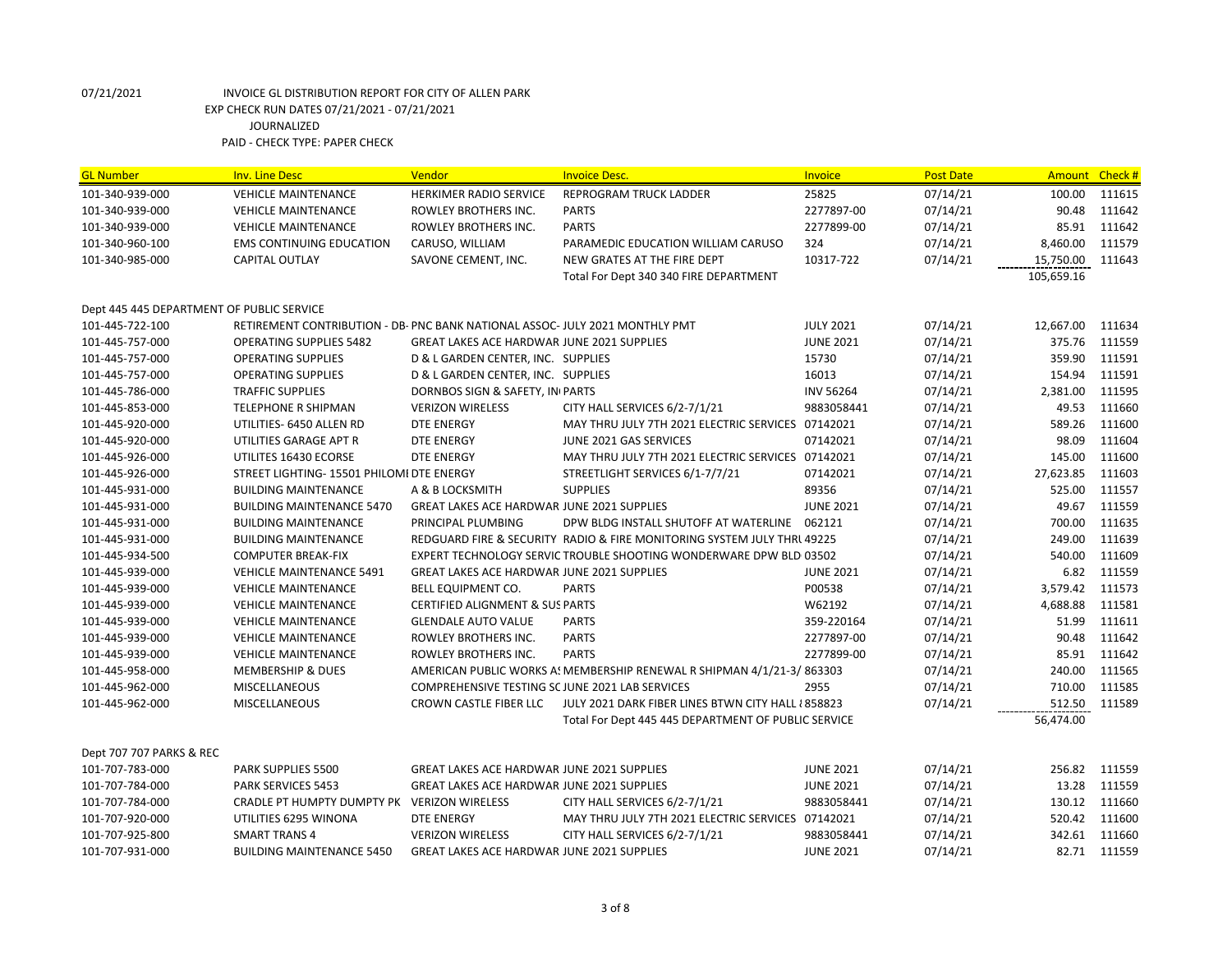| <b>GL Number</b>                          | <b>Inv. Line Desc</b>                                                        | Vendor                                            | <b>Invoice Desc.</b>                                                    | Invoice          | <b>Post Date</b> | <b>Amount</b> | Check#       |
|-------------------------------------------|------------------------------------------------------------------------------|---------------------------------------------------|-------------------------------------------------------------------------|------------------|------------------|---------------|--------------|
| 101-340-939-000                           | <b>VEHICLE MAINTENANCE</b>                                                   | HERKIMER RADIO SERVICE                            | <b>REPROGRAM TRUCK LADDER</b>                                           | 25825            | 07/14/21         | 100.00        | 111615       |
| 101-340-939-000                           | <b>VEHICLE MAINTENANCE</b>                                                   | ROWLEY BROTHERS INC.                              | <b>PARTS</b>                                                            | 2277897-00       | 07/14/21         | 90.48         | 111642       |
| 101-340-939-000                           | <b>VEHICLE MAINTENANCE</b>                                                   | ROWLEY BROTHERS INC.                              | <b>PARTS</b>                                                            | 2277899-00       | 07/14/21         | 85.91         | 111642       |
| 101-340-960-100                           | <b>EMS CONTINUING EDUCATION</b>                                              | CARUSO, WILLIAM                                   | PARAMEDIC EDUCATION WILLIAM CARUSO                                      | 324              | 07/14/21         | 8,460.00      | 111579       |
| 101-340-985-000                           | <b>CAPITAL OUTLAY</b>                                                        | SAVONE CEMENT, INC.                               | NEW GRATES AT THE FIRE DEPT                                             | 10317-722        | 07/14/21         | 15,750.00     | 111643       |
|                                           |                                                                              |                                                   | Total For Dept 340 340 FIRE DEPARTMENT                                  |                  |                  | 105,659.16    |              |
|                                           |                                                                              |                                                   |                                                                         |                  |                  |               |              |
| Dept 445 445 DEPARTMENT OF PUBLIC SERVICE |                                                                              |                                                   |                                                                         |                  |                  |               |              |
| 101-445-722-100                           | RETIREMENT CONTRIBUTION - DB- PNC BANK NATIONAL ASSOC- JULY 2021 MONTHLY PMT |                                                   |                                                                         | <b>JULY 2021</b> | 07/14/21         | 12,667.00     | 111634       |
| 101-445-757-000                           | <b>OPERATING SUPPLIES 5482</b>                                               | <b>GREAT LAKES ACE HARDWAR JUNE 2021 SUPPLIES</b> |                                                                         | <b>JUNE 2021</b> | 07/14/21         | 375.76        | 111559       |
| 101-445-757-000                           | <b>OPERATING SUPPLIES</b>                                                    | D & L GARDEN CENTER, INC. SUPPLIES                |                                                                         | 15730            | 07/14/21         | 359.90        | 111591       |
| 101-445-757-000                           | <b>OPERATING SUPPLIES</b>                                                    | D & L GARDEN CENTER, INC. SUPPLIES                |                                                                         | 16013            | 07/14/21         | 154.94        | 111591       |
| 101-445-786-000                           | <b>TRAFFIC SUPPLIES</b>                                                      | DORNBOS SIGN & SAFETY, IN PARTS                   |                                                                         | <b>INV 56264</b> | 07/14/21         | 2,381.00      | 111595       |
| 101-445-853-000                           | TELEPHONE R SHIPMAN                                                          | <b>VERIZON WIRELESS</b>                           | CITY HALL SERVICES 6/2-7/1/21                                           | 9883058441       | 07/14/21         | 49.53         | 111660       |
| 101-445-920-000                           | UTILITIES- 6450 ALLEN RD                                                     | DTE ENERGY                                        | MAY THRU JULY 7TH 2021 ELECTRIC SERVICES 07142021                       |                  | 07/14/21         | 589.26        | 111600       |
| 101-445-920-000                           | UTILITIES GARAGE APT R                                                       | DTE ENERGY                                        | JUNE 2021 GAS SERVICES                                                  | 07142021         | 07/14/21         | 98.09         | 111604       |
| 101-445-926-000                           | UTILITES 16430 ECORSE                                                        | <b>DTE ENERGY</b>                                 | MAY THRU JULY 7TH 2021 ELECTRIC SERVICES 07142021                       |                  | 07/14/21         | 145.00        | 111600       |
| 101-445-926-000                           | STREET LIGHTING- 15501 PHILOMI DTE ENERGY                                    |                                                   | STREETLIGHT SERVICES 6/1-7/7/21                                         | 07142021         | 07/14/21         | 27,623.85     | 111603       |
| 101-445-931-000                           | <b>BUILDING MAINTENANCE</b>                                                  | A & B LOCKSMITH                                   | <b>SUPPLIES</b>                                                         | 89356            | 07/14/21         | 525.00        | 111557       |
| 101-445-931-000                           | <b>BUILDING MAINTENANCE 5470</b>                                             | <b>GREAT LAKES ACE HARDWAR JUNE 2021 SUPPLIES</b> |                                                                         | <b>JUNE 2021</b> | 07/14/21         | 49.67         | 111559       |
| 101-445-931-000                           | <b>BUILDING MAINTENANCE</b>                                                  | PRINCIPAL PLUMBING                                | DPW BLDG INSTALL SHUTOFF AT WATERLINE 062121                            |                  | 07/14/21         | 700.00        | 111635       |
| 101-445-931-000                           | <b>BUILDING MAINTENANCE</b>                                                  |                                                   | REDGUARD FIRE & SECURITY RADIO & FIRE MONITORING SYSTEM JULY THRL 49225 |                  | 07/14/21         | 249.00        | 111639       |
| 101-445-934-500                           | <b>COMPUTER BREAK-FIX</b>                                                    |                                                   | EXPERT TECHNOLOGY SERVIC TROUBLE SHOOTING WONDERWARE DPW BLD 03502      |                  | 07/14/21         | 540.00        | 111609       |
| 101-445-939-000                           | <b>VEHICLE MAINTENANCE 5491</b>                                              | <b>GREAT LAKES ACE HARDWAR JUNE 2021 SUPPLIES</b> |                                                                         | <b>JUNE 2021</b> | 07/14/21         | 6.82          | 111559       |
| 101-445-939-000                           | <b>VEHICLE MAINTENANCE</b>                                                   | BELL EQUIPMENT CO.                                | <b>PARTS</b>                                                            | P00538           | 07/14/21         | 3,579.42      | 111573       |
| 101-445-939-000                           | <b>VEHICLE MAINTENANCE</b>                                                   | <b>CERTIFIED ALIGNMENT &amp; SUS PARTS</b>        |                                                                         | W62192           | 07/14/21         | 4,688.88      | 111581       |
| 101-445-939-000                           | <b>VEHICLE MAINTENANCE</b>                                                   | <b>GLENDALE AUTO VALUE</b>                        | <b>PARTS</b>                                                            | 359-220164       | 07/14/21         | 51.99         | 111611       |
| 101-445-939-000                           | <b>VEHICLE MAINTENANCE</b>                                                   | ROWLEY BROTHERS INC.                              | <b>PARTS</b>                                                            | 2277897-00       | 07/14/21         | 90.48         | 111642       |
| 101-445-939-000                           | <b>VEHICLE MAINTENANCE</b>                                                   | ROWLEY BROTHERS INC.                              | <b>PARTS</b>                                                            | 2277899-00       | 07/14/21         | 85.91         | 111642       |
| 101-445-958-000                           | <b>MEMBERSHIP &amp; DUES</b>                                                 |                                                   | AMERICAN PUBLIC WORKS A! MEMBERSHIP RENEWAL R SHIPMAN 4/1/21-3/863303   |                  | 07/14/21         | 240.00        | 111565       |
| 101-445-962-000                           | MISCELLANEOUS                                                                | COMPREHENSIVE TESTING SC JUNE 2021 LAB SERVICES   |                                                                         | 2955             | 07/14/21         | 710.00        | 111585       |
| 101-445-962-000                           | MISCELLANEOUS                                                                | CROWN CASTLE FIBER LLC                            | JULY 2021 DARK FIBER LINES BTWN CITY HALL {858823                       |                  | 07/14/21         | 512.50        | 111589       |
|                                           |                                                                              |                                                   | Total For Dept 445 445 DEPARTMENT OF PUBLIC SERVICE                     |                  |                  | 56.474.00     |              |
|                                           |                                                                              |                                                   |                                                                         |                  |                  |               |              |
| Dept 707 707 PARKS & REC                  |                                                                              |                                                   |                                                                         |                  |                  |               |              |
| 101-707-783-000                           | PARK SUPPLIES 5500                                                           | <b>GREAT LAKES ACE HARDWAR JUNE 2021 SUPPLIES</b> |                                                                         | <b>JUNE 2021</b> | 07/14/21         | 256.82        | 111559       |
| 101-707-784-000                           | <b>PARK SERVICES 5453</b>                                                    | <b>GREAT LAKES ACE HARDWAR JUNE 2021 SUPPLIES</b> |                                                                         | <b>JUNE 2021</b> | 07/14/21         | 13.28         | 111559       |
| 101-707-784-000                           | CRADLE PT HUMPTY DUMPTY PK VERIZON WIRELESS                                  |                                                   | CITY HALL SERVICES 6/2-7/1/21                                           | 9883058441       | 07/14/21         | 130.12        | 111660       |
| 101-707-920-000                           | UTILITIES 6295 WINONA                                                        | <b>DTE ENERGY</b>                                 | MAY THRU JULY 7TH 2021 ELECTRIC SERVICES 07142021                       |                  | 07/14/21         | 520.42        | 111600       |
| 101-707-925-800                           | <b>SMART TRANS 4</b>                                                         | <b>VERIZON WIRELESS</b>                           | CITY HALL SERVICES 6/2-7/1/21                                           | 9883058441       | 07/14/21         | 342.61        | 111660       |
| 101-707-931-000                           | BUILDING MAINTENANCE 5450                                                    | GREAT LAKES ACE HARDWAR JUNE 2021 SUPPLIES        |                                                                         | <b>JUNE 2021</b> | 07/14/21         |               | 82.71 111559 |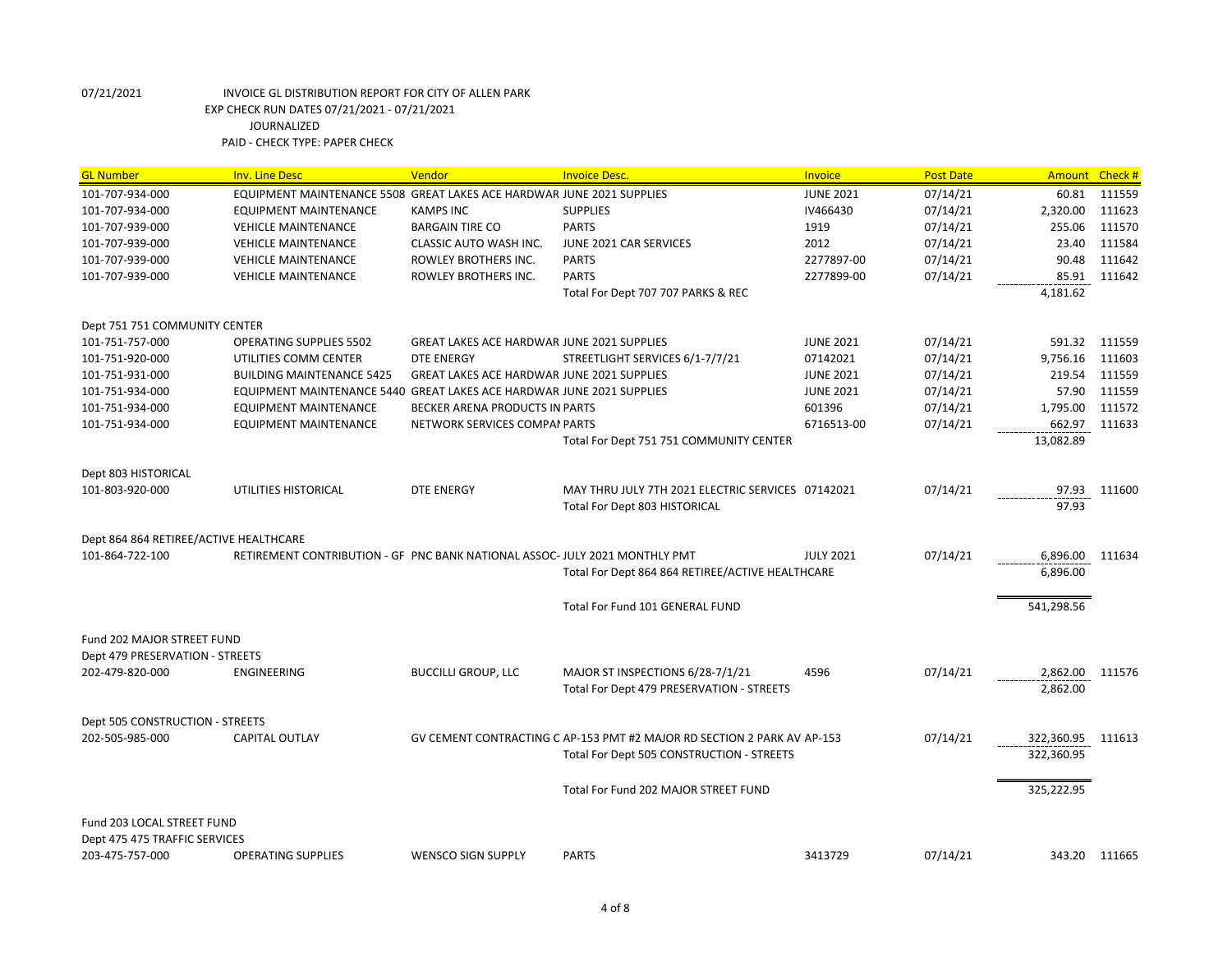| <b>GL Number</b>                                 | <b>Inv. Line Desc</b>                                                       | Vendor                                            | <b>Invoice Desc.</b>                                                    | Invoice          | <b>Post Date</b> | Amount Check #    |               |
|--------------------------------------------------|-----------------------------------------------------------------------------|---------------------------------------------------|-------------------------------------------------------------------------|------------------|------------------|-------------------|---------------|
| 101-707-934-000                                  | EQUIPMENT MAINTENANCE 5508 GREAT LAKES ACE HARDWAR JUNE 2021 SUPPLIES       |                                                   |                                                                         | <b>JUNE 2021</b> | 07/14/21         | 60.81             | 111559        |
| 101-707-934-000                                  | <b>EQUIPMENT MAINTENANCE</b>                                                | <b>KAMPS INC</b>                                  | <b>SUPPLIES</b>                                                         | IV466430         | 07/14/21         | 2,320.00          | 111623        |
| 101-707-939-000                                  | <b>VEHICLE MAINTENANCE</b>                                                  | <b>BARGAIN TIRE CO</b>                            | <b>PARTS</b>                                                            | 1919             | 07/14/21         | 255.06            | 111570        |
| 101-707-939-000                                  | <b>VEHICLE MAINTENANCE</b>                                                  | CLASSIC AUTO WASH INC.                            | JUNE 2021 CAR SERVICES                                                  | 2012             | 07/14/21         | 23.40             | 111584        |
| 101-707-939-000                                  | <b>VEHICLE MAINTENANCE</b>                                                  | ROWLEY BROTHERS INC.                              | <b>PARTS</b>                                                            | 2277897-00       | 07/14/21         | 90.48             | 111642        |
| 101-707-939-000                                  | <b>VEHICLE MAINTENANCE</b>                                                  | ROWLEY BROTHERS INC.                              | <b>PARTS</b>                                                            | 2277899-00       | 07/14/21         | 85.91             | 111642        |
|                                                  |                                                                             |                                                   | Total For Dept 707 707 PARKS & REC                                      |                  |                  | 4,181.62          |               |
| Dept 751 751 COMMUNITY CENTER                    |                                                                             |                                                   |                                                                         |                  |                  |                   |               |
| 101-751-757-000                                  | <b>OPERATING SUPPLIES 5502</b>                                              | <b>GREAT LAKES ACE HARDWAR JUNE 2021 SUPPLIES</b> |                                                                         | <b>JUNE 2021</b> | 07/14/21         | 591.32            | 111559        |
| 101-751-920-000                                  | UTILITIES COMM CENTER                                                       | <b>DTE ENERGY</b>                                 | STREETLIGHT SERVICES 6/1-7/7/21                                         | 07142021         | 07/14/21         | 9,756.16          | 111603        |
| 101-751-931-000                                  | <b>BUILDING MAINTENANCE 5425</b>                                            | <b>GREAT LAKES ACE HARDWAR JUNE 2021 SUPPLIES</b> |                                                                         | <b>JUNE 2021</b> | 07/14/21         | 219.54            | 111559        |
| 101-751-934-000                                  | EQUIPMENT MAINTENANCE 5440 GREAT LAKES ACE HARDWAR JUNE 2021 SUPPLIES       |                                                   |                                                                         | <b>JUNE 2021</b> | 07/14/21         | 57.90             | 111559        |
| 101-751-934-000                                  | <b>EQUIPMENT MAINTENANCE</b>                                                | BECKER ARENA PRODUCTS IN PARTS                    |                                                                         | 601396           | 07/14/21         | 1,795.00          | 111572        |
| 101-751-934-000                                  | <b>EQUIPMENT MAINTENANCE</b>                                                | NETWORK SERVICES COMPAI PARTS                     |                                                                         | 6716513-00       | 07/14/21         | 662.97            | 111633        |
|                                                  |                                                                             |                                                   | Total For Dept 751 751 COMMUNITY CENTER                                 |                  |                  | 13,082.89         |               |
| Dept 803 HISTORICAL                              |                                                                             |                                                   |                                                                         |                  |                  |                   |               |
| 101-803-920-000                                  | UTILITIES HISTORICAL                                                        | <b>DTE ENERGY</b>                                 | MAY THRU JULY 7TH 2021 ELECTRIC SERVICES 07142021                       |                  | 07/14/21         | 97.93             | 111600        |
|                                                  |                                                                             |                                                   | Total For Dept 803 HISTORICAL                                           |                  |                  | 97.93             |               |
| Dept 864 864 RETIREE/ACTIVE HEALTHCARE           |                                                                             |                                                   |                                                                         |                  |                  |                   |               |
| 101-864-722-100                                  | RETIREMENT CONTRIBUTION - GF PNC BANK NATIONAL ASSOC- JULY 2021 MONTHLY PMT |                                                   |                                                                         | <b>JULY 2021</b> | 07/14/21         | 6,896.00 111634   |               |
|                                                  |                                                                             |                                                   | Total For Dept 864 864 RETIREE/ACTIVE HEALTHCARE                        |                  |                  | 6,896.00          |               |
|                                                  |                                                                             |                                                   |                                                                         |                  |                  |                   |               |
|                                                  |                                                                             |                                                   | Total For Fund 101 GENERAL FUND                                         |                  |                  | 541,298.56        |               |
| Fund 202 MAJOR STREET FUND                       |                                                                             |                                                   |                                                                         |                  |                  |                   |               |
| Dept 479 PRESERVATION - STREETS                  |                                                                             |                                                   |                                                                         |                  |                  |                   |               |
| 202-479-820-000                                  | <b>ENGINEERING</b>                                                          | <b>BUCCILLI GROUP, LLC</b>                        | MAJOR ST INSPECTIONS 6/28-7/1/21                                        | 4596             | 07/14/21         | 2,862.00 111576   |               |
|                                                  |                                                                             |                                                   | Total For Dept 479 PRESERVATION - STREETS                               |                  |                  | 2,862.00          |               |
| Dept 505 CONSTRUCTION - STREETS                  |                                                                             |                                                   |                                                                         |                  |                  |                   |               |
| 202-505-985-000                                  | <b>CAPITAL OUTLAY</b>                                                       |                                                   | GV CEMENT CONTRACTING C AP-153 PMT #2 MAJOR RD SECTION 2 PARK AV AP-153 |                  | 07/14/21         | 322,360.95 111613 |               |
|                                                  |                                                                             |                                                   | Total For Dept 505 CONSTRUCTION - STREETS                               |                  |                  | 322,360.95        |               |
|                                                  |                                                                             |                                                   | Total For Fund 202 MAJOR STREET FUND                                    |                  |                  | 325,222.95        |               |
|                                                  |                                                                             |                                                   |                                                                         |                  |                  |                   |               |
| Fund 203 LOCAL STREET FUND                       |                                                                             |                                                   |                                                                         |                  |                  |                   |               |
| Dept 475 475 TRAFFIC SERVICES<br>203-475-757-000 |                                                                             |                                                   |                                                                         | 3413729          |                  |                   |               |
|                                                  | <b>OPERATING SUPPLIES</b>                                                   | <b>WENSCO SIGN SUPPLY</b>                         | <b>PARTS</b>                                                            |                  | 07/14/21         |                   | 343.20 111665 |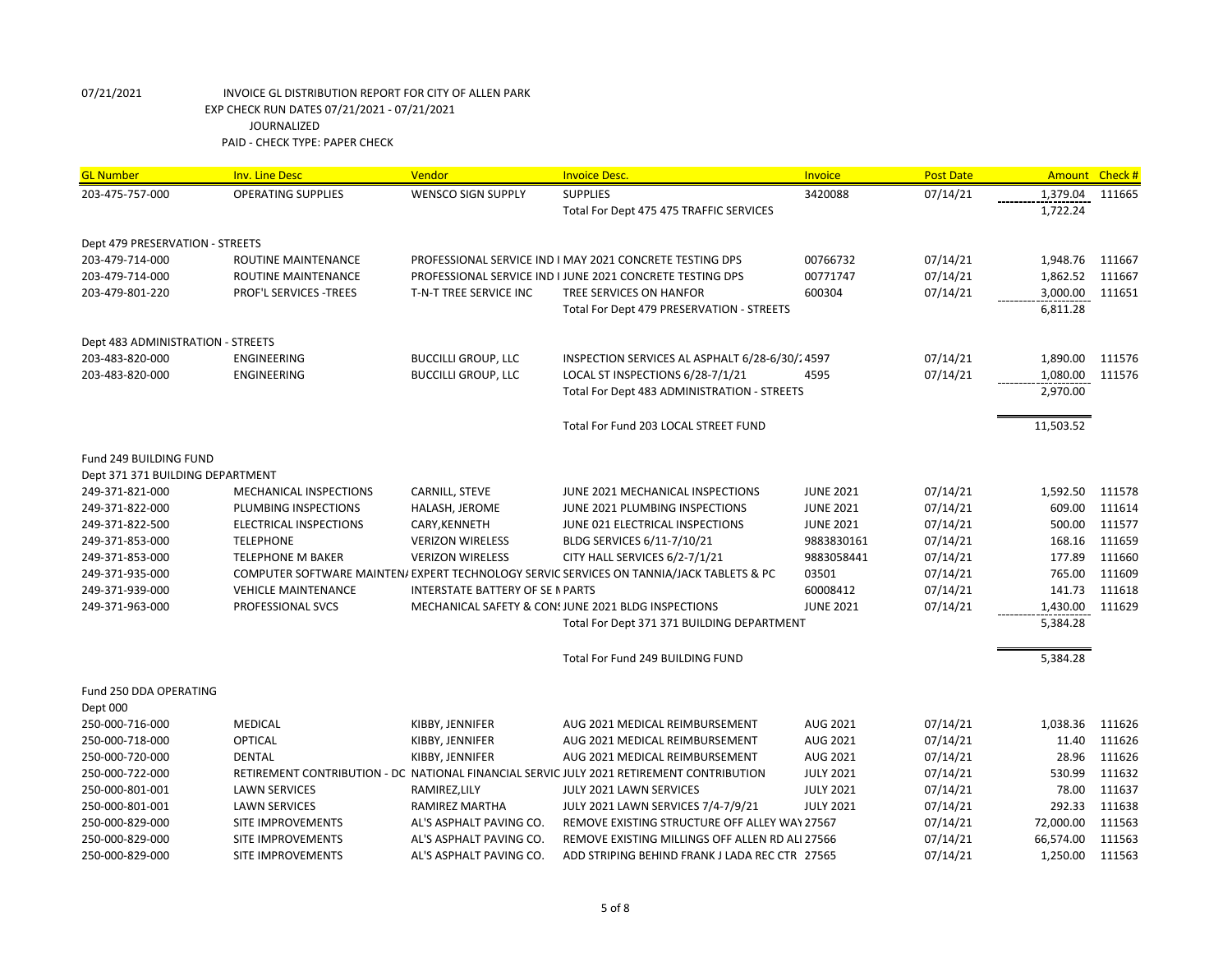| <b>GL Number</b>                  | <b>Inv. Line Desc</b>      | Vendor                                  | <b>Invoice Desc.</b>                                                                     | <b>Invoice</b>   | <b>Post Date</b> |           | Amount Check # |
|-----------------------------------|----------------------------|-----------------------------------------|------------------------------------------------------------------------------------------|------------------|------------------|-----------|----------------|
| 203-475-757-000                   | <b>OPERATING SUPPLIES</b>  | <b>WENSCO SIGN SUPPLY</b>               | <b>SUPPLIES</b>                                                                          | 3420088          | 07/14/21         | 1,379.04  | 111665         |
|                                   |                            |                                         | Total For Dept 475 475 TRAFFIC SERVICES                                                  |                  |                  | 1,722.24  |                |
| Dept 479 PRESERVATION - STREETS   |                            |                                         |                                                                                          |                  |                  |           |                |
| 203-479-714-000                   | ROUTINE MAINTENANCE        |                                         | PROFESSIONAL SERVICE IND I MAY 2021 CONCRETE TESTING DPS                                 | 00766732         | 07/14/21         | 1,948.76  | 111667         |
| 203-479-714-000                   | ROUTINE MAINTENANCE        |                                         | PROFESSIONAL SERVICE IND I JUNE 2021 CONCRETE TESTING DPS                                | 00771747         | 07/14/21         | 1,862.52  | 111667         |
| 203-479-801-220                   | PROF'L SERVICES -TREES     | T-N-T TREE SERVICE INC                  | TREE SERVICES ON HANFOR                                                                  | 600304           | 07/14/21         | 3,000.00  | 111651         |
|                                   |                            |                                         | Total For Dept 479 PRESERVATION - STREETS                                                |                  |                  | 6,811.28  |                |
| Dept 483 ADMINISTRATION - STREETS |                            |                                         |                                                                                          |                  |                  |           |                |
| 203-483-820-000                   | ENGINEERING                | <b>BUCCILLI GROUP, LLC</b>              | INSPECTION SERVICES AL ASPHALT 6/28-6/30/24597                                           |                  | 07/14/21         | 1,890.00  | 111576         |
| 203-483-820-000                   | ENGINEERING                | <b>BUCCILLI GROUP, LLC</b>              | LOCAL ST INSPECTIONS 6/28-7/1/21                                                         | 4595             | 07/14/21         | 1,080.00  | 111576         |
|                                   |                            |                                         | Total For Dept 483 ADMINISTRATION - STREETS                                              |                  |                  | 2,970.00  |                |
|                                   |                            |                                         | Total For Fund 203 LOCAL STREET FUND                                                     |                  |                  | 11,503.52 |                |
| Fund 249 BUILDING FUND            |                            |                                         |                                                                                          |                  |                  |           |                |
| Dept 371 371 BUILDING DEPARTMENT  |                            |                                         |                                                                                          |                  |                  |           |                |
| 249-371-821-000                   | MECHANICAL INSPECTIONS     | CARNILL, STEVE                          | JUNE 2021 MECHANICAL INSPECTIONS                                                         | <b>JUNE 2021</b> | 07/14/21         | 1,592.50  | 111578         |
| 249-371-822-000                   | PLUMBING INSPECTIONS       | HALASH, JEROME                          | JUNE 2021 PLUMBING INSPECTIONS                                                           | <b>JUNE 2021</b> | 07/14/21         | 609.00    | 111614         |
| 249-371-822-500                   | ELECTRICAL INSPECTIONS     | CARY, KENNETH                           | JUNE 021 ELECTRICAL INSPECTIONS                                                          | <b>JUNE 2021</b> | 07/14/21         | 500.00    | 111577         |
| 249-371-853-000                   | <b>TELEPHONE</b>           | <b>VERIZON WIRELESS</b>                 | BLDG SERVICES 6/11-7/10/21                                                               | 9883830161       | 07/14/21         | 168.16    | 111659         |
| 249-371-853-000                   | <b>TELEPHONE M BAKER</b>   | <b>VERIZON WIRELESS</b>                 | CITY HALL SERVICES 6/2-7/1/21                                                            | 9883058441       | 07/14/21         | 177.89    | 111660         |
| 249-371-935-000                   |                            |                                         | COMPUTER SOFTWARE MAINTEN/ EXPERT TECHNOLOGY SERVIC SERVICES ON TANNIA/JACK TABLETS & PC | 03501            | 07/14/21         | 765.00    | 111609         |
| 249-371-939-000                   | <b>VEHICLE MAINTENANCE</b> | <b>INTERSTATE BATTERY OF SE N PARTS</b> |                                                                                          | 60008412         | 07/14/21         | 141.73    | 111618         |
| 249-371-963-000                   | PROFESSIONAL SVCS          |                                         | MECHANICAL SAFETY & CONSUME 2021 BLDG INSPECTIONS                                        | <b>JUNE 2021</b> | 07/14/21         | 1,430.00  | 111629         |
|                                   |                            |                                         | Total For Dept 371 371 BUILDING DEPARTMENT                                               |                  |                  | 5,384.28  |                |
|                                   |                            |                                         |                                                                                          |                  |                  |           |                |
|                                   |                            |                                         | Total For Fund 249 BUILDING FUND                                                         |                  |                  | 5,384.28  |                |
| Fund 250 DDA OPERATING            |                            |                                         |                                                                                          |                  |                  |           |                |
| Dept 000                          |                            |                                         |                                                                                          |                  |                  |           |                |
| 250-000-716-000                   | <b>MEDICAL</b>             | KIBBY, JENNIFER                         | AUG 2021 MEDICAL REIMBURSEMENT                                                           | AUG 2021         | 07/14/21         | 1,038.36  | 111626         |
| 250-000-718-000                   | <b>OPTICAL</b>             | KIBBY, JENNIFER                         | AUG 2021 MEDICAL REIMBURSEMENT                                                           | AUG 2021         | 07/14/21         | 11.40     | 111626         |
| 250-000-720-000                   | <b>DENTAL</b>              | KIBBY, JENNIFER                         | AUG 2021 MEDICAL REIMBURSEMENT                                                           | AUG 2021         | 07/14/21         | 28.96     | 111626         |
| 250-000-722-000                   |                            |                                         | RETIREMENT CONTRIBUTION - DC NATIONAL FINANCIAL SERVIC JULY 2021 RETIREMENT CONTRIBUTION | <b>JULY 2021</b> | 07/14/21         | 530.99    | 111632         |
| 250-000-801-001                   | <b>LAWN SERVICES</b>       | RAMIREZ, LILY                           | JULY 2021 LAWN SERVICES                                                                  | <b>JULY 2021</b> | 07/14/21         | 78.00     | 111637         |
| 250-000-801-001                   | <b>LAWN SERVICES</b>       | <b>RAMIREZ MARTHA</b>                   | JULY 2021 LAWN SERVICES 7/4-7/9/21                                                       | <b>JULY 2021</b> | 07/14/21         | 292.33    | 111638         |
| 250-000-829-000                   | SITE IMPROVEMENTS          | AL'S ASPHALT PAVING CO.                 | REMOVE EXISTING STRUCTURE OFF ALLEY WAY 27567                                            |                  | 07/14/21         | 72,000.00 | 111563         |
| 250-000-829-000                   | SITE IMPROVEMENTS          | AL'S ASPHALT PAVING CO.                 | REMOVE EXISTING MILLINGS OFF ALLEN RD ALI 27566                                          |                  | 07/14/21         | 66,574.00 | 111563         |
| 250-000-829-000                   | SITE IMPROVEMENTS          | AL'S ASPHALT PAVING CO.                 | ADD STRIPING BEHIND FRANK J LADA REC CTR 27565                                           |                  | 07/14/21         | 1,250.00  | 111563         |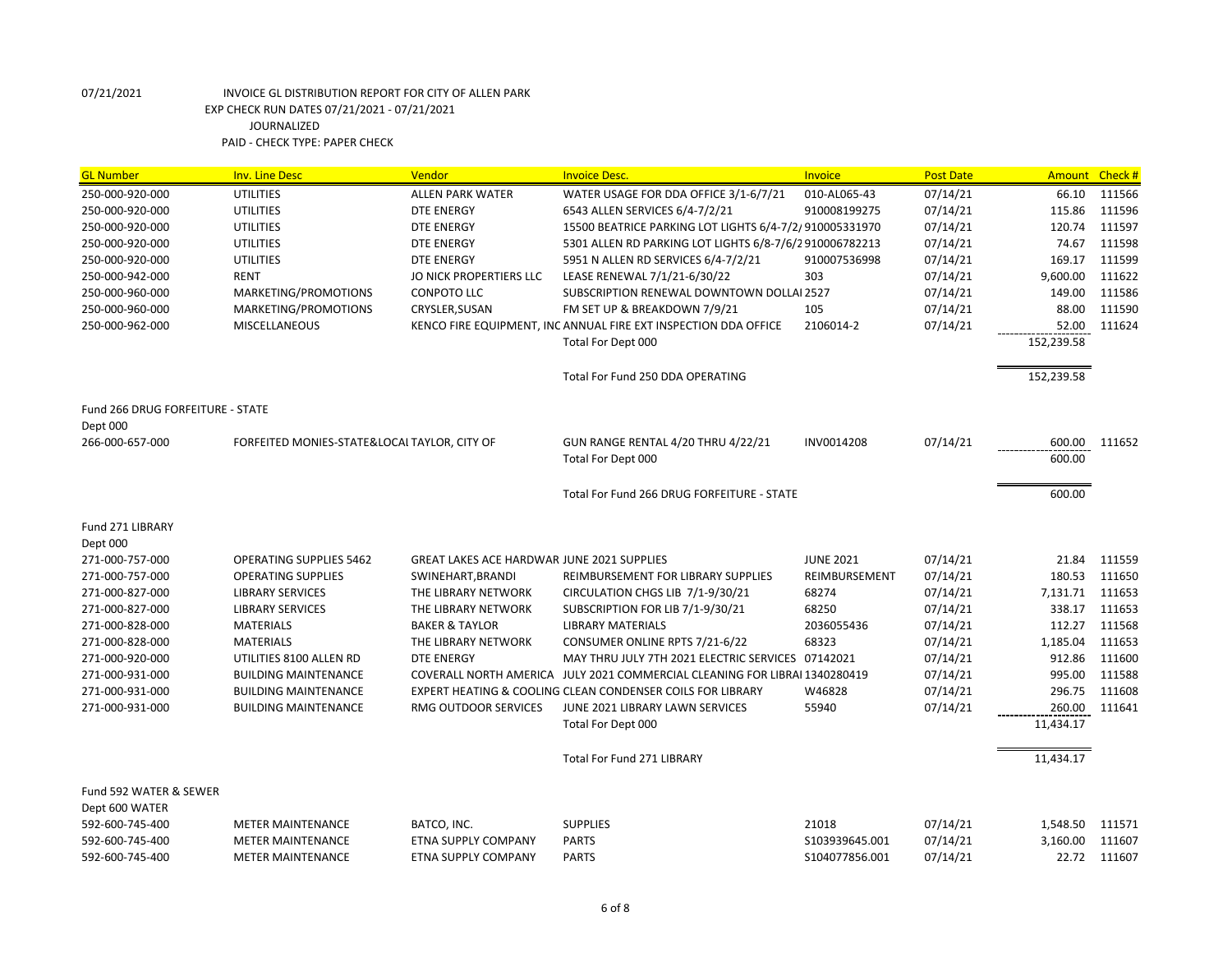| <b>GL Number</b>                 | <b>Inv. Line Desc</b>                        | Vendor                                            | <b>Invoice Desc.</b>                                                       | Invoice          | <b>Post Date</b> | <b>Amount</b> | Check # |
|----------------------------------|----------------------------------------------|---------------------------------------------------|----------------------------------------------------------------------------|------------------|------------------|---------------|---------|
| 250-000-920-000                  | <b>UTILITIES</b>                             | <b>ALLEN PARK WATER</b>                           | WATER USAGE FOR DDA OFFICE 3/1-6/7/21                                      | 010-AL065-43     | 07/14/21         | 66.10         | 111566  |
| 250-000-920-000                  | <b>UTILITIES</b>                             | <b>DTE ENERGY</b>                                 | 6543 ALLEN SERVICES 6/4-7/2/21                                             | 910008199275     | 07/14/21         | 115.86        | 111596  |
| 250-000-920-000                  | <b>UTILITIES</b>                             | <b>DTE ENERGY</b>                                 | 15500 BEATRICE PARKING LOT LIGHTS 6/4-7/2/910005331970                     |                  | 07/14/21         | 120.74        | 111597  |
| 250-000-920-000                  | <b>UTILITIES</b>                             | <b>DTE ENERGY</b>                                 | 5301 ALLEN RD PARKING LOT LIGHTS 6/8-7/6/2910006782213                     |                  | 07/14/21         | 74.67         | 111598  |
| 250-000-920-000                  | <b>UTILITIES</b>                             | <b>DTE ENERGY</b>                                 | 5951 N ALLEN RD SERVICES 6/4-7/2/21                                        | 910007536998     | 07/14/21         | 169.17        | 111599  |
| 250-000-942-000                  | <b>RENT</b>                                  | JO NICK PROPERTIERS LLC                           | LEASE RENEWAL 7/1/21-6/30/22                                               | 303              | 07/14/21         | 9,600.00      | 111622  |
| 250-000-960-000                  | MARKETING/PROMOTIONS                         | <b>CONPOTO LLC</b>                                | SUBSCRIPTION RENEWAL DOWNTOWN DOLLAI 2527                                  |                  | 07/14/21         | 149.00        | 111586  |
| 250-000-960-000                  | MARKETING/PROMOTIONS                         | CRYSLER, SUSAN                                    | FM SET UP & BREAKDOWN 7/9/21                                               | 105              | 07/14/21         | 88.00         | 111590  |
| 250-000-962-000                  | <b>MISCELLANEOUS</b>                         |                                                   | KENCO FIRE EQUIPMENT, INC ANNUAL FIRE EXT INSPECTION DDA OFFICE            | 2106014-2        | 07/14/21         | 52.00         | 111624  |
|                                  |                                              |                                                   | Total For Dept 000                                                         |                  |                  | 152,239.58    |         |
|                                  |                                              |                                                   | Total For Fund 250 DDA OPERATING                                           |                  |                  | 152,239.58    |         |
| Fund 266 DRUG FORFEITURE - STATE |                                              |                                                   |                                                                            |                  |                  |               |         |
| Dept 000                         |                                              |                                                   |                                                                            |                  |                  |               |         |
| 266-000-657-000                  | FORFEITED MONIES-STATE&LOCAL TAYLOR, CITY OF |                                                   | GUN RANGE RENTAL 4/20 THRU 4/22/21                                         | INV0014208       | 07/14/21         | 600.00        | 111652  |
|                                  |                                              |                                                   | Total For Dept 000                                                         |                  |                  | 600.00        |         |
|                                  |                                              |                                                   | Total For Fund 266 DRUG FORFEITURE - STATE                                 |                  |                  | 600.00        |         |
|                                  |                                              |                                                   |                                                                            |                  |                  |               |         |
| Fund 271 LIBRARY                 |                                              |                                                   |                                                                            |                  |                  |               |         |
| Dept 000                         |                                              |                                                   |                                                                            |                  |                  |               |         |
| 271-000-757-000                  | <b>OPERATING SUPPLIES 5462</b>               | <b>GREAT LAKES ACE HARDWAR JUNE 2021 SUPPLIES</b> |                                                                            | <b>JUNE 2021</b> | 07/14/21         | 21.84         | 111559  |
| 271-000-757-000                  | <b>OPERATING SUPPLIES</b>                    | SWINEHART, BRANDI                                 | REIMBURSEMENT FOR LIBRARY SUPPLIES                                         | REIMBURSEMENT    | 07/14/21         | 180.53        | 111650  |
| 271-000-827-000                  | <b>LIBRARY SERVICES</b>                      | THE LIBRARY NETWORK                               | CIRCULATION CHGS LIB 7/1-9/30/21                                           | 68274            | 07/14/21         | 7,131.71      | 111653  |
| 271-000-827-000                  | <b>LIBRARY SERVICES</b>                      | THE LIBRARY NETWORK                               | SUBSCRIPTION FOR LIB 7/1-9/30/21                                           | 68250            | 07/14/21         | 338.17        | 111653  |
| 271-000-828-000                  | <b>MATERIALS</b>                             | <b>BAKER &amp; TAYLOR</b>                         | <b>LIBRARY MATERIALS</b>                                                   | 2036055436       | 07/14/21         | 112.27        | 111568  |
| 271-000-828-000                  | <b>MATERIALS</b>                             | THE LIBRARY NETWORK                               | CONSUMER ONLINE RPTS 7/21-6/22                                             | 68323            | 07/14/21         | 1,185.04      | 111653  |
| 271-000-920-000                  | UTILITIES 8100 ALLEN RD                      | <b>DTE ENERGY</b>                                 | MAY THRU JULY 7TH 2021 ELECTRIC SERVICES 07142021                          |                  | 07/14/21         | 912.86        | 111600  |
| 271-000-931-000                  | <b>BUILDING MAINTENANCE</b>                  |                                                   | COVERALL NORTH AMERICA JULY 2021 COMMERCIAL CLEANING FOR LIBRAI 1340280419 |                  | 07/14/21         | 995.00        | 111588  |
| 271-000-931-000                  | <b>BUILDING MAINTENANCE</b>                  |                                                   | EXPERT HEATING & COOLING CLEAN CONDENSER COILS FOR LIBRARY                 | W46828           | 07/14/21         | 296.75        | 111608  |
| 271-000-931-000                  | <b>BUILDING MAINTENANCE</b>                  | RMG OUTDOOR SERVICES                              | JUNE 2021 LIBRARY LAWN SERVICES                                            | 55940            | 07/14/21         | 260.00        | 111641  |
|                                  |                                              |                                                   | Total For Dept 000                                                         |                  |                  | 11,434.17     |         |
|                                  |                                              |                                                   | <b>Total For Fund 271 LIBRARY</b>                                          |                  |                  | 11,434.17     |         |
| Fund 592 WATER & SEWER           |                                              |                                                   |                                                                            |                  |                  |               |         |
| Dept 600 WATER                   |                                              |                                                   |                                                                            |                  |                  |               |         |
| 592-600-745-400                  | <b>METER MAINTENANCE</b>                     | BATCO, INC.                                       | <b>SUPPLIES</b>                                                            | 21018            | 07/14/21         | 1,548.50      | 111571  |
| 592-600-745-400                  | <b>METER MAINTENANCE</b>                     | <b>ETNA SUPPLY COMPANY</b>                        | <b>PARTS</b>                                                               | S103939645.001   | 07/14/21         | 3,160.00      | 111607  |
| 592-600-745-400                  | <b>METER MAINTENANCE</b>                     | <b>ETNA SUPPLY COMPANY</b>                        | <b>PARTS</b>                                                               | S104077856.001   | 07/14/21         | 22.72         | 111607  |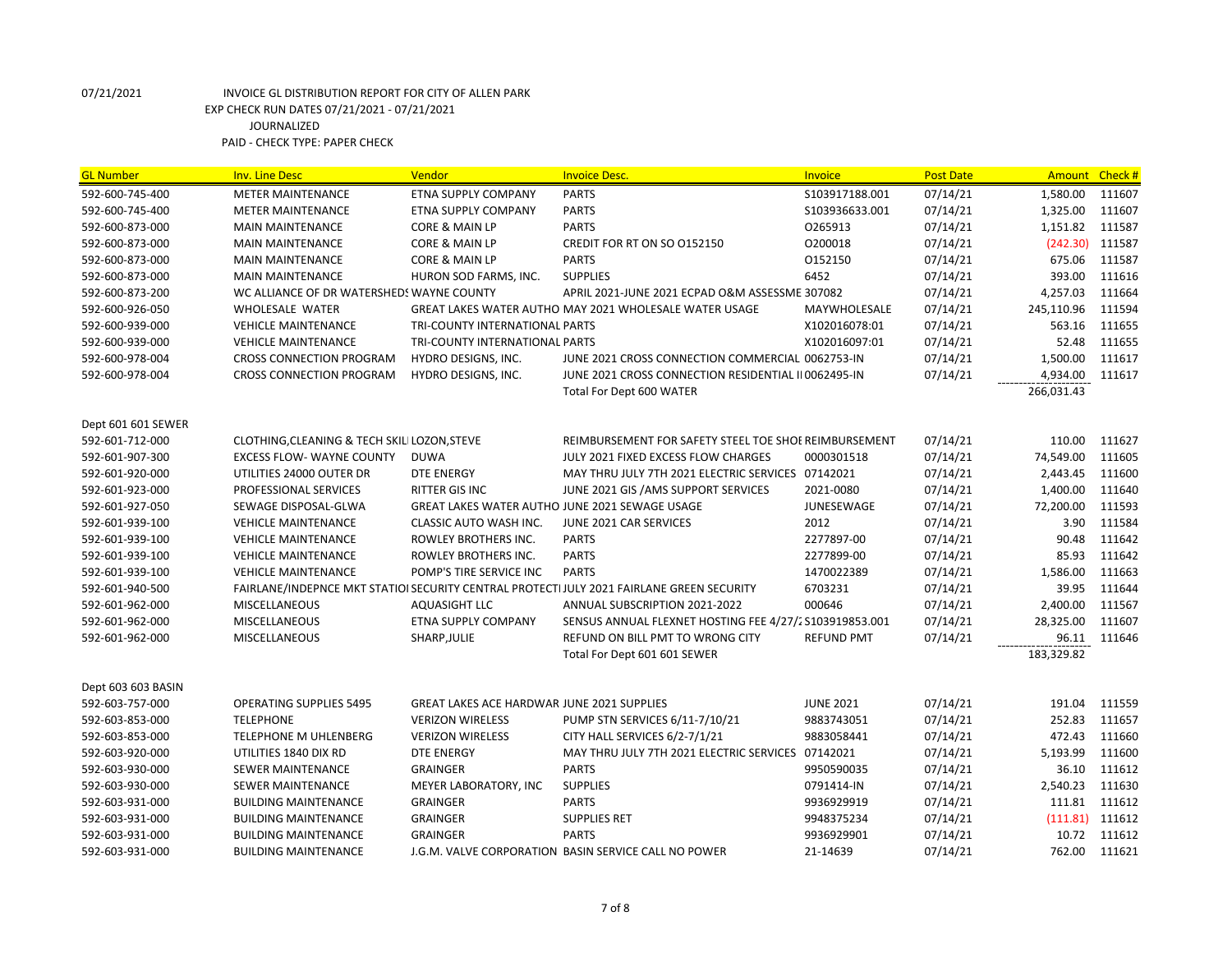| <b>GL Number</b>   | <b>Inv. Line Desc</b>                        | Vendor                                            | <b>Invoice Desc.</b>                                                                     | Invoice           | <b>Post Date</b> | Amount Check # |        |
|--------------------|----------------------------------------------|---------------------------------------------------|------------------------------------------------------------------------------------------|-------------------|------------------|----------------|--------|
| 592-600-745-400    | <b>METER MAINTENANCE</b>                     | <b>ETNA SUPPLY COMPANY</b>                        | <b>PARTS</b>                                                                             | S103917188.001    | 07/14/21         | 1,580.00       | 111607 |
| 592-600-745-400    | <b>METER MAINTENANCE</b>                     | ETNA SUPPLY COMPANY                               | <b>PARTS</b>                                                                             | \$103936633.001   | 07/14/21         | 1,325.00       | 111607 |
| 592-600-873-000    | <b>MAIN MAINTENANCE</b>                      | CORE & MAIN LP                                    | <b>PARTS</b>                                                                             | 0265913           | 07/14/21         | 1,151.82       | 111587 |
| 592-600-873-000    | <b>MAIN MAINTENANCE</b>                      | <b>CORE &amp; MAIN LP</b>                         | CREDIT FOR RT ON SO 0152150                                                              | 0200018           | 07/14/21         | (242.30)       | 111587 |
| 592-600-873-000    | <b>MAIN MAINTENANCE</b>                      | CORE & MAIN LP                                    | <b>PARTS</b>                                                                             | 0152150           | 07/14/21         | 675.06         | 111587 |
| 592-600-873-000    | <b>MAIN MAINTENANCE</b>                      | HURON SOD FARMS, INC.                             | <b>SUPPLIES</b>                                                                          | 6452              | 07/14/21         | 393.00         | 111616 |
| 592-600-873-200    | WC ALLIANCE OF DR WATERSHEDS WAYNE COUNTY    |                                                   | APRIL 2021-JUNE 2021 ECPAD O&M ASSESSME 307082                                           |                   | 07/14/21         | 4,257.03       | 111664 |
| 592-600-926-050    | WHOLESALE WATER                              |                                                   | GREAT LAKES WATER AUTHO MAY 2021 WHOLESALE WATER USAGE                                   | MAYWHOLESALE      | 07/14/21         | 245,110.96     | 111594 |
| 592-600-939-000    | <b>VEHICLE MAINTENANCE</b>                   | TRI-COUNTY INTERNATIONAL PARTS                    |                                                                                          | X102016078:01     | 07/14/21         | 563.16         | 111655 |
| 592-600-939-000    | <b>VEHICLE MAINTENANCE</b>                   | TRI-COUNTY INTERNATIONAL PARTS                    |                                                                                          | X102016097:01     | 07/14/21         | 52.48          | 111655 |
| 592-600-978-004    | <b>CROSS CONNECTION PROGRAM</b>              | HYDRO DESIGNS, INC.                               | JUNE 2021 CROSS CONNECTION COMMERCIAL 0062753-IN                                         |                   | 07/14/21         | 1,500.00       | 111617 |
| 592-600-978-004    | <b>CROSS CONNECTION PROGRAM</b>              | HYDRO DESIGNS, INC.                               | JUNE 2021 CROSS CONNECTION RESIDENTIAL II 0062495-IN                                     |                   | 07/14/21         | 4,934.00       | 111617 |
|                    |                                              |                                                   | Total For Dept 600 WATER                                                                 |                   |                  | 266,031.43     |        |
|                    |                                              |                                                   |                                                                                          |                   |                  |                |        |
| Dept 601 601 SEWER |                                              |                                                   |                                                                                          |                   |                  |                |        |
| 592-601-712-000    | CLOTHING, CLEANING & TECH SKILI LOZON, STEVE |                                                   | REIMBURSEMENT FOR SAFETY STEEL TOE SHOE REIMBURSEMENT                                    |                   | 07/14/21         | 110.00         | 111627 |
| 592-601-907-300    | <b>EXCESS FLOW- WAYNE COUNTY</b>             | <b>DUWA</b>                                       | JULY 2021 FIXED EXCESS FLOW CHARGES                                                      | 0000301518        | 07/14/21         | 74,549.00      | 111605 |
| 592-601-920-000    | UTILITIES 24000 OUTER DR                     | <b>DTE ENERGY</b>                                 | MAY THRU JULY 7TH 2021 ELECTRIC SERVICES 07142021                                        |                   | 07/14/21         | 2,443.45       | 111600 |
| 592-601-923-000    | PROFESSIONAL SERVICES                        | <b>RITTER GIS INC</b>                             | JUNE 2021 GIS / AMS SUPPORT SERVICES                                                     | 2021-0080         | 07/14/21         | 1,400.00       | 111640 |
| 592-601-927-050    | SEWAGE DISPOSAL-GLWA                         | GREAT LAKES WATER AUTHO JUNE 2021 SEWAGE USAGE    |                                                                                          | JUNESEWAGE        | 07/14/21         | 72,200.00      | 111593 |
| 592-601-939-100    | <b>VEHICLE MAINTENANCE</b>                   | CLASSIC AUTO WASH INC.                            | JUNE 2021 CAR SERVICES                                                                   | 2012              | 07/14/21         | 3.90           | 111584 |
| 592-601-939-100    | <b>VEHICLE MAINTENANCE</b>                   | ROWLEY BROTHERS INC.                              | <b>PARTS</b>                                                                             | 2277897-00        | 07/14/21         | 90.48          | 111642 |
| 592-601-939-100    | <b>VEHICLE MAINTENANCE</b>                   | ROWLEY BROTHERS INC.                              | <b>PARTS</b>                                                                             | 2277899-00        | 07/14/21         | 85.93          | 111642 |
| 592-601-939-100    | <b>VEHICLE MAINTENANCE</b>                   | POMP'S TIRE SERVICE INC                           | <b>PARTS</b>                                                                             | 1470022389        | 07/14/21         | 1,586.00       | 111663 |
| 592-601-940-500    |                                              |                                                   | FAIRLANE/INDEPNCE MKT STATIOI SECURITY CENTRAL PROTECTIJULY 2021 FAIRLANE GREEN SECURITY | 6703231           | 07/14/21         | 39.95          | 111644 |
| 592-601-962-000    | <b>MISCELLANEOUS</b>                         | AQUASIGHT LLC                                     | ANNUAL SUBSCRIPTION 2021-2022                                                            | 000646            | 07/14/21         | 2,400.00       | 111567 |
| 592-601-962-000    | <b>MISCELLANEOUS</b>                         | ETNA SUPPLY COMPANY                               | SENSUS ANNUAL FLEXNET HOSTING FEE 4/27/2 S103919853.001                                  |                   | 07/14/21         | 28,325.00      | 111607 |
| 592-601-962-000    | MISCELLANEOUS                                | SHARP, JULIE                                      | REFUND ON BILL PMT TO WRONG CITY                                                         | <b>REFUND PMT</b> | 07/14/21         | 96.11          | 111646 |
|                    |                                              |                                                   | Total For Dept 601 601 SEWER                                                             |                   |                  | 183,329.82     |        |
|                    |                                              |                                                   |                                                                                          |                   |                  |                |        |
| Dept 603 603 BASIN |                                              |                                                   |                                                                                          |                   |                  |                |        |
| 592-603-757-000    | <b>OPERATING SUPPLIES 5495</b>               | <b>GREAT LAKES ACE HARDWAR JUNE 2021 SUPPLIES</b> |                                                                                          | <b>JUNE 2021</b>  | 07/14/21         | 191.04         | 111559 |
| 592-603-853-000    | <b>TELEPHONE</b>                             | <b>VERIZON WIRELESS</b>                           | PUMP STN SERVICES 6/11-7/10/21                                                           | 9883743051        | 07/14/21         | 252.83         | 111657 |
| 592-603-853-000    | TELEPHONE M UHLENBERG                        | <b>VERIZON WIRELESS</b>                           | CITY HALL SERVICES 6/2-7/1/21                                                            | 9883058441        | 07/14/21         | 472.43         | 111660 |
| 592-603-920-000    | UTILITIES 1840 DIX RD                        | <b>DTE ENERGY</b>                                 | MAY THRU JULY 7TH 2021 ELECTRIC SERVICES 07142021                                        |                   | 07/14/21         | 5,193.99       | 111600 |
| 592-603-930-000    | SEWER MAINTENANCE                            | <b>GRAINGER</b>                                   | <b>PARTS</b>                                                                             | 9950590035        | 07/14/21         | 36.10          | 111612 |
| 592-603-930-000    | <b>SEWER MAINTENANCE</b>                     | MEYER LABORATORY, INC                             | <b>SUPPLIES</b>                                                                          | 0791414-IN        | 07/14/21         | 2,540.23       | 111630 |
| 592-603-931-000    | <b>BUILDING MAINTENANCE</b>                  | <b>GRAINGER</b>                                   | <b>PARTS</b>                                                                             | 9936929919        | 07/14/21         | 111.81         | 111612 |
| 592-603-931-000    | <b>BUILDING MAINTENANCE</b>                  | <b>GRAINGER</b>                                   | <b>SUPPLIES RET</b>                                                                      | 9948375234        | 07/14/21         | (111.81)       | 111612 |
| 592-603-931-000    | <b>BUILDING MAINTENANCE</b>                  | <b>GRAINGER</b>                                   | <b>PARTS</b>                                                                             | 9936929901        | 07/14/21         | 10.72          | 111612 |
| 592-603-931-000    | <b>BUILDING MAINTENANCE</b>                  |                                                   | J.G.M. VALVE CORPORATION BASIN SERVICE CALL NO POWER                                     | 21-14639          | 07/14/21         | 762.00         | 111621 |
|                    |                                              |                                                   |                                                                                          |                   |                  |                |        |